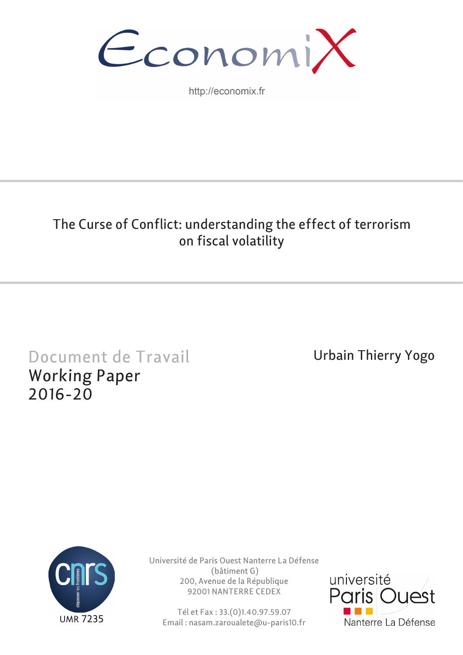

http://economix.fr

# The Curse of Conflict: understanding the effect of terrorism on fiscal volatility

# Document de Travail Working Paper 2016-20

Urbain Thierry Yogo



Université de Paris Ouest Nanterre La Défense (bâtiment G) 200, Avenue de la République 92001 NANTERRE CEDEX

Tél et Fax : 33.(0)1.40.97.59.07 Email : nasam.zaroualete@u-paris10.fr

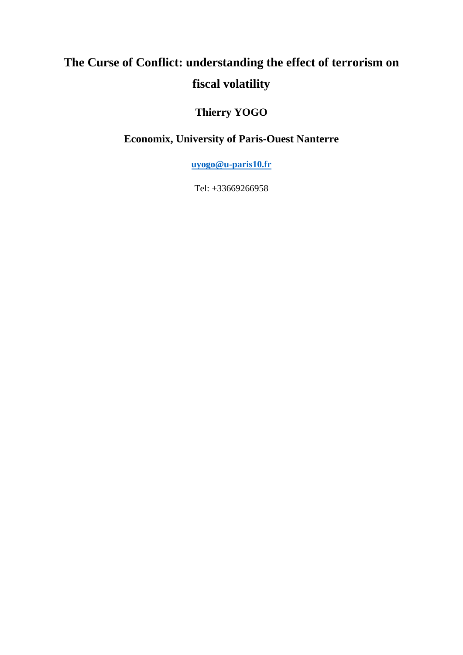# **The Curse of Conflict: understanding the effect of terrorism on fiscal volatility**

# **Thierry YOGO**

# **Economix, University of Paris-Ouest Nanterre**

**uyogo@u-paris10.fr**

Tel: +33669266958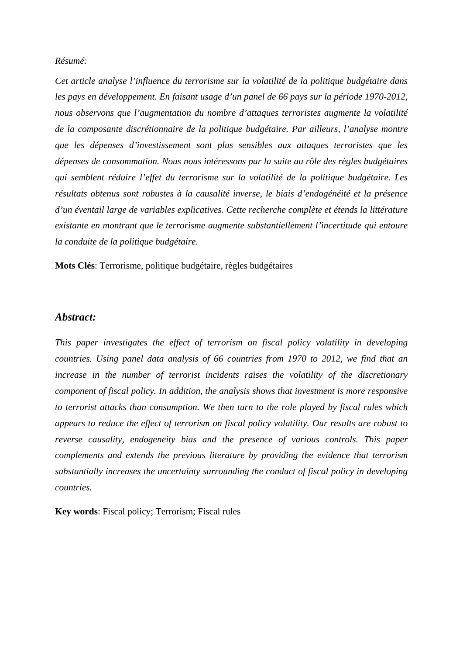#### *Résumé:*

*Cet article analyse l'influence du terrorisme sur la volatilité de la politique budgétaire dans*  les pays en développement. En faisant usage d'un panel de 66 pays sur la période 1970-2012, *nous observons que l'augmentation du nombre d'attaques terroristes augmente la volatilité de la composante discrétionnaire de la politique budgétaire. Par ailleurs, l'analyse montre que les dépenses d'investissement sont plus sensibles aux attaques terroristes que les dépenses de consommation. Nous nous intéressons par la suite au rôle des règles budgétaires qui semblent réduire l'effet du terrorisme sur la volatilité de la politique budgétaire. Les résultats obtenus sont robustes à la causalité inverse, le biais d'endogénéité et la présence d'un éventail large de variables explicatives. Cette recherche complète et étends la littérature existante en montrant que le terrorisme augmente substantiellement l'incertitude qui entoure la conduite de la politique budgétaire.* 

**Mots Clés**: Terrorisme, politique budgétaire, règles budgétaires

#### *Abstract:*

*This paper investigates the effect of terrorism on fiscal policy volatility in developing countries. Using panel data analysis of 66 countries from 1970 to 2012, we find that an increase in the number of terrorist incidents raises the volatility of the discretionary component of fiscal policy. In addition, the analysis shows that investment is more responsive to terrorist attacks than consumption. We then turn to the role played by fiscal rules which appears to reduce the effect of terrorism on fiscal policy volatility. Our results are robust to reverse causality, endogeneity bias and the presence of various controls. This paper complements and extends the previous literature by providing the evidence that terrorism substantially increases the uncertainty surrounding the conduct of fiscal policy in developing countries.* 

**Key words**: Fiscal policy; Terrorism; Fiscal rules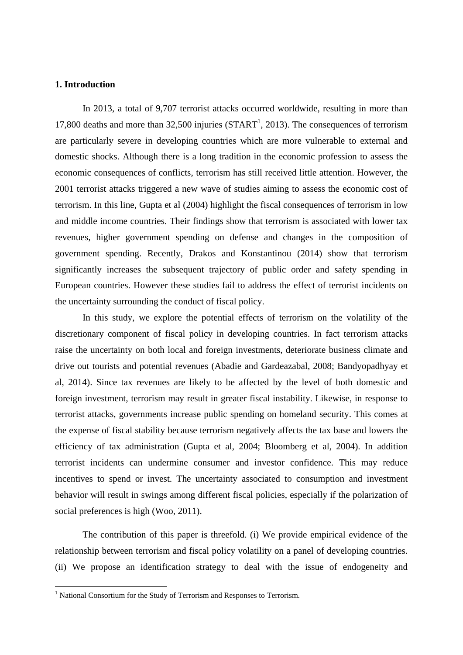#### **1. Introduction**

In 2013, a total of 9,707 terrorist attacks occurred worldwide, resulting in more than 17,800 deaths and more than  $32,500$  injuries (START<sup>1</sup>, 2013). The consequences of terrorism are particularly severe in developing countries which are more vulnerable to external and domestic shocks. Although there is a long tradition in the economic profession to assess the economic consequences of conflicts, terrorism has still received little attention. However, the 2001 terrorist attacks triggered a new wave of studies aiming to assess the economic cost of terrorism. In this line, Gupta et al (2004) highlight the fiscal consequences of terrorism in low and middle income countries. Their findings show that terrorism is associated with lower tax revenues, higher government spending on defense and changes in the composition of government spending. Recently, Drakos and Konstantinou (2014) show that terrorism significantly increases the subsequent trajectory of public order and safety spending in European countries. However these studies fail to address the effect of terrorist incidents on the uncertainty surrounding the conduct of fiscal policy.

In this study, we explore the potential effects of terrorism on the volatility of the discretionary component of fiscal policy in developing countries. In fact terrorism attacks raise the uncertainty on both local and foreign investments, deteriorate business climate and drive out tourists and potential revenues (Abadie and Gardeazabal, 2008; Bandyopadhyay et al, 2014). Since tax revenues are likely to be affected by the level of both domestic and foreign investment, terrorism may result in greater fiscal instability. Likewise, in response to terrorist attacks, governments increase public spending on homeland security. This comes at the expense of fiscal stability because terrorism negatively affects the tax base and lowers the efficiency of tax administration (Gupta et al, 2004; Bloomberg et al, 2004). In addition terrorist incidents can undermine consumer and investor confidence. This may reduce incentives to spend or invest. The uncertainty associated to consumption and investment behavior will result in swings among different fiscal policies, especially if the polarization of social preferences is high (Woo, 2011).

The contribution of this paper is threefold. (i) We provide empirical evidence of the relationship between terrorism and fiscal policy volatility on a panel of developing countries. (ii) We propose an identification strategy to deal with the issue of endogeneity and

 1 National Consortium for the Study of Terrorism and Responses to Terrorism.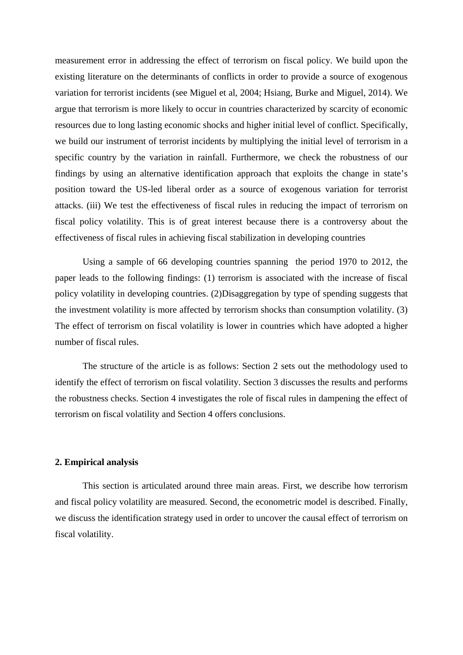measurement error in addressing the effect of terrorism on fiscal policy. We build upon the existing literature on the determinants of conflicts in order to provide a source of exogenous variation for terrorist incidents (see Miguel et al, 2004; Hsiang, Burke and Miguel, 2014). We argue that terrorism is more likely to occur in countries characterized by scarcity of economic resources due to long lasting economic shocks and higher initial level of conflict. Specifically, we build our instrument of terrorist incidents by multiplying the initial level of terrorism in a specific country by the variation in rainfall. Furthermore, we check the robustness of our findings by using an alternative identification approach that exploits the change in state's position toward the US-led liberal order as a source of exogenous variation for terrorist attacks. (iii) We test the effectiveness of fiscal rules in reducing the impact of terrorism on fiscal policy volatility. This is of great interest because there is a controversy about the effectiveness of fiscal rules in achieving fiscal stabilization in developing countries

Using a sample of 66 developing countries spanning the period 1970 to 2012, the paper leads to the following findings: (1) terrorism is associated with the increase of fiscal policy volatility in developing countries. (2)Disaggregation by type of spending suggests that the investment volatility is more affected by terrorism shocks than consumption volatility. (3) The effect of terrorism on fiscal volatility is lower in countries which have adopted a higher number of fiscal rules.

The structure of the article is as follows: Section 2 sets out the methodology used to identify the effect of terrorism on fiscal volatility. Section 3 discusses the results and performs the robustness checks. Section 4 investigates the role of fiscal rules in dampening the effect of terrorism on fiscal volatility and Section 4 offers conclusions.

#### **2. Empirical analysis**

This section is articulated around three main areas. First, we describe how terrorism and fiscal policy volatility are measured. Second, the econometric model is described. Finally, we discuss the identification strategy used in order to uncover the causal effect of terrorism on fiscal volatility.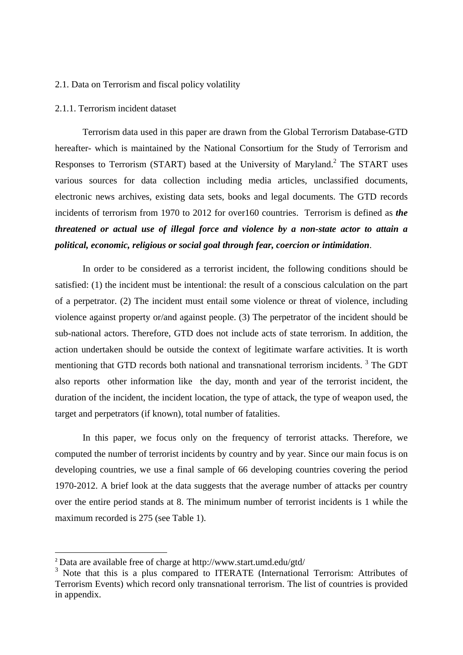#### 2.1. Data on Terrorism and fiscal policy volatility

#### 2.1.1. Terrorism incident dataset

Terrorism data used in this paper are drawn from the Global Terrorism Database-GTD hereafter- which is maintained by the National Consortium for the Study of Terrorism and Responses to Terrorism (START) based at the University of Maryland.<sup>2</sup> The START uses various sources for data collection including media articles, unclassified documents, electronic news archives, existing data sets, books and legal documents. The GTD records incidents of terrorism from 1970 to 2012 for over160 countries. Terrorism is defined as *the threatened or actual use of illegal force and violence by a non-state actor to attain a political, economic, religious or social goal through fear, coercion or intimidation*.

In order to be considered as a terrorist incident, the following conditions should be satisfied: (1) the incident must be intentional: the result of a conscious calculation on the part of a perpetrator. (2) The incident must entail some violence or threat of violence, including violence against property or/and against people. (3) The perpetrator of the incident should be sub-national actors. Therefore, GTD does not include acts of state terrorism. In addition, the action undertaken should be outside the context of legitimate warfare activities. It is worth mentioning that GTD records both national and transnational terrorism incidents.<sup>3</sup> The GDT also reports other information like the day, month and year of the terrorist incident, the duration of the incident, the incident location, the type of attack, the type of weapon used, the target and perpetrators (if known), total number of fatalities.

In this paper, we focus only on the frequency of terrorist attacks. Therefore, we computed the number of terrorist incidents by country and by year. Since our main focus is on developing countries, we use a final sample of 66 developing countries covering the period 1970-2012. A brief look at the data suggests that the average number of attacks per country over the entire period stands at 8. The minimum number of terrorist incidents is 1 while the maximum recorded is 275 (see Table 1).

<sup>2</sup> Data are available free of charge at http://www.start.umd.edu/gtd/

<sup>&</sup>lt;sup>3</sup> Note that this is a plus compared to ITERATE (International Terrorism: Attributes of Terrorism Events) which record only transnational terrorism. The list of countries is provided in appendix.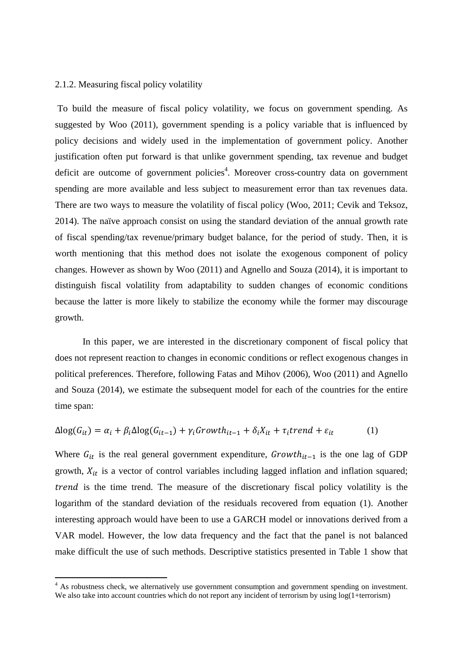#### 2.1.2. Measuring fiscal policy volatility

 To build the measure of fiscal policy volatility, we focus on government spending. As suggested by Woo (2011), government spending is a policy variable that is influenced by policy decisions and widely used in the implementation of government policy. Another justification often put forward is that unlike government spending, tax revenue and budget deficit are outcome of government policies<sup>4</sup>. Moreover cross-country data on government spending are more available and less subject to measurement error than tax revenues data. There are two ways to measure the volatility of fiscal policy (Woo, 2011; Cevik and Teksoz, 2014). The naïve approach consist on using the standard deviation of the annual growth rate of fiscal spending/tax revenue/primary budget balance, for the period of study. Then, it is worth mentioning that this method does not isolate the exogenous component of policy changes. However as shown by Woo (2011) and Agnello and Souza (2014), it is important to distinguish fiscal volatility from adaptability to sudden changes of economic conditions because the latter is more likely to stabilize the economy while the former may discourage growth.

In this paper, we are interested in the discretionary component of fiscal policy that does not represent reaction to changes in economic conditions or reflect exogenous changes in political preferences. Therefore, following Fatas and Mihov (2006), Woo (2011) and Agnello and Souza (2014), we estimate the subsequent model for each of the countries for the entire time span:

$$
\Delta \log(G_{it}) = \alpha_i + \beta_i \Delta \log(G_{it-1}) + \gamma_i \text{Growth}_{it-1} + \delta_i X_{it} + \tau_i \text{trend} + \varepsilon_{it} \tag{1}
$$

Where  $G_{it}$  is the real general government expenditure,  $Growth_{it-1}$  is the one lag of GDP growth,  $X_{it}$  is a vector of control variables including lagged inflation and inflation squared; trend is the time trend. The measure of the discretionary fiscal policy volatility is the logarithm of the standard deviation of the residuals recovered from equation (1). Another interesting approach would have been to use a GARCH model or innovations derived from a VAR model. However, the low data frequency and the fact that the panel is not balanced make difficult the use of such methods. Descriptive statistics presented in Table 1 show that

<sup>&</sup>lt;sup>4</sup> As robustness check, we alternatively use government consumption and government spending on investment. We also take into account countries which do not report any incident of terrorism by using  $log(1+terror)$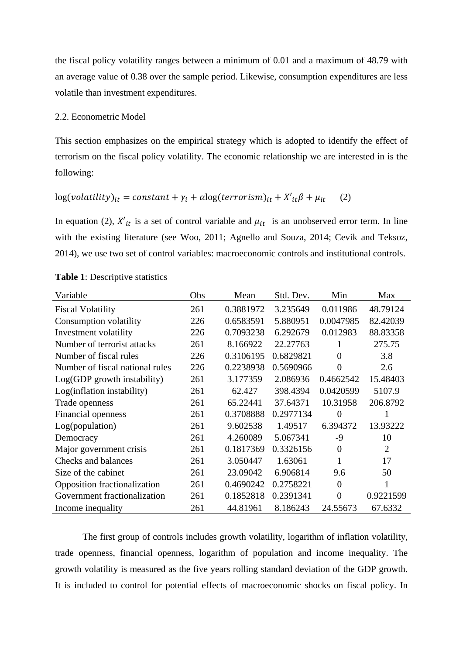the fiscal policy volatility ranges between a minimum of 0.01 and a maximum of 48.79 with an average value of 0.38 over the sample period. Likewise, consumption expenditures are less volatile than investment expenditures.

#### 2.2. Econometric Model

This section emphasizes on the empirical strategy which is adopted to identify the effect of terrorism on the fiscal policy volatility. The economic relationship we are interested in is the following:

# $\log(volatility)_{it} = constant + \gamma_i + \alpha \log(terroring)_{it} + X'_{it} \beta + \mu_{it}$  (2)

In equation (2),  $X'_{it}$  is a set of control variable and  $\mu_{it}$  is an unobserved error term. In line with the existing literature (see Woo, 2011; Agnello and Souza, 2014; Cevik and Teksoz, 2014), we use two set of control variables: macroeconomic controls and institutional controls.

| Variable                        | Obs | Mean      | Std. Dev. | Min            | Max            |
|---------------------------------|-----|-----------|-----------|----------------|----------------|
| <b>Fiscal Volatility</b>        | 261 | 0.3881972 | 3.235649  | 0.011986       | 48.79124       |
| Consumption volatility          | 226 | 0.6583591 | 5.880951  | 0.0047985      | 82.42039       |
| Investment volatility           | 226 | 0.7093238 | 6.292679  | 0.012983       | 88.83358       |
| Number of terrorist attacks     | 261 | 8.166922  | 22.27763  |                | 275.75         |
| Number of fiscal rules          | 226 | 0.3106195 | 0.6829821 | $\overline{0}$ | 3.8            |
| Number of fiscal national rules | 226 | 0.2238938 | 0.5690966 | $\overline{0}$ | 2.6            |
| Log(GDP growth instability)     | 261 | 3.177359  | 2.086936  | 0.4662542      | 15.48403       |
| Log(inflation instability)      | 261 | 62.427    | 398.4394  | 0.0420599      | 5107.9         |
| Trade openness                  | 261 | 65.22441  | 37.64371  | 10.31958       | 206.8792       |
| Financial openness              | 261 | 0.3708888 | 0.2977134 | $\theta$       |                |
| Log(population)                 | 261 | 9.602538  | 1.49517   | 6.394372       | 13.93222       |
| Democracy                       | 261 | 4.260089  | 5.067341  | $-9$           | 10             |
| Major government crisis         | 261 | 0.1817369 | 0.3326156 | $\overline{0}$ | $\overline{2}$ |
| Checks and balances             | 261 | 3.050447  | 1.63061   |                | 17             |
| Size of the cabinet             | 261 | 23.09042  | 6.906814  | 9.6            | 50             |
| Opposition fractionalization    | 261 | 0.4690242 | 0.2758221 | $\theta$       | 1              |
| Government fractionalization    | 261 | 0.1852818 | 0.2391341 | $\theta$       | 0.9221599      |
| Income inequality               | 261 | 44.81961  | 8.186243  | 24.55673       | 67.6332        |

**Table 1**: Descriptive statistics

The first group of controls includes growth volatility, logarithm of inflation volatility, trade openness, financial openness, logarithm of population and income inequality. The growth volatility is measured as the five years rolling standard deviation of the GDP growth. It is included to control for potential effects of macroeconomic shocks on fiscal policy. In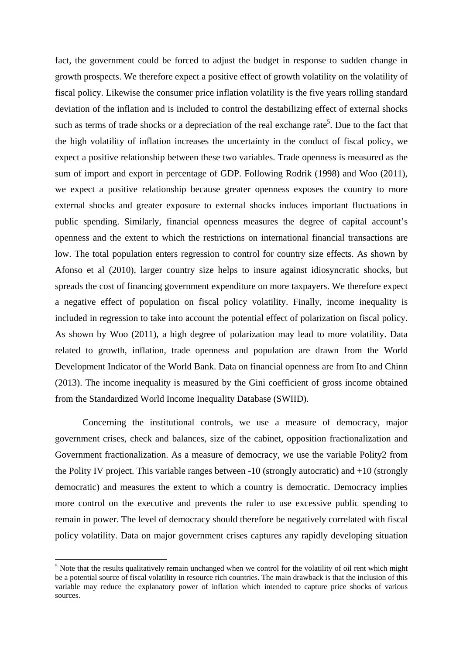fact, the government could be forced to adjust the budget in response to sudden change in growth prospects. We therefore expect a positive effect of growth volatility on the volatility of fiscal policy. Likewise the consumer price inflation volatility is the five years rolling standard deviation of the inflation and is included to control the destabilizing effect of external shocks such as terms of trade shocks or a depreciation of the real exchange rate<sup>5</sup>. Due to the fact that the high volatility of inflation increases the uncertainty in the conduct of fiscal policy, we expect a positive relationship between these two variables. Trade openness is measured as the sum of import and export in percentage of GDP. Following Rodrik (1998) and Woo (2011), we expect a positive relationship because greater openness exposes the country to more external shocks and greater exposure to external shocks induces important fluctuations in public spending. Similarly, financial openness measures the degree of capital account's openness and the extent to which the restrictions on international financial transactions are low. The total population enters regression to control for country size effects. As shown by Afonso et al (2010), larger country size helps to insure against idiosyncratic shocks, but spreads the cost of financing government expenditure on more taxpayers. We therefore expect a negative effect of population on fiscal policy volatility. Finally, income inequality is included in regression to take into account the potential effect of polarization on fiscal policy. As shown by Woo (2011), a high degree of polarization may lead to more volatility. Data related to growth, inflation, trade openness and population are drawn from the World Development Indicator of the World Bank. Data on financial openness are from Ito and Chinn (2013). The income inequality is measured by the Gini coefficient of gross income obtained from the Standardized World Income Inequality Database (SWIID).

Concerning the institutional controls, we use a measure of democracy, major government crises, check and balances, size of the cabinet, opposition fractionalization and Government fractionalization. As a measure of democracy, we use the variable Polity2 from the Polity IV project. This variable ranges between -10 (strongly autocratic) and +10 (strongly democratic) and measures the extent to which a country is democratic. Democracy implies more control on the executive and prevents the ruler to use excessive public spending to remain in power. The level of democracy should therefore be negatively correlated with fiscal policy volatility. Data on major government crises captures any rapidly developing situation

 $<sup>5</sup>$  Note that the results qualitatively remain unchanged when we control for the volatility of oil rent which might</sup> be a potential source of fiscal volatility in resource rich countries. The main drawback is that the inclusion of this variable may reduce the explanatory power of inflation which intended to capture price shocks of various sources.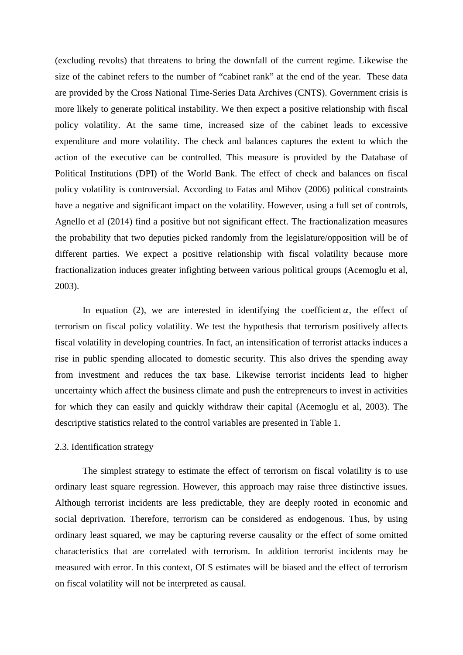(excluding revolts) that threatens to bring the downfall of the current regime. Likewise the size of the cabinet refers to the number of "cabinet rank" at the end of the year. These data are provided by the Cross National Time-Series Data Archives (CNTS). Government crisis is more likely to generate political instability. We then expect a positive relationship with fiscal policy volatility. At the same time, increased size of the cabinet leads to excessive expenditure and more volatility. The check and balances captures the extent to which the action of the executive can be controlled. This measure is provided by the Database of Political Institutions (DPI) of the World Bank. The effect of check and balances on fiscal policy volatility is controversial. According to Fatas and Mihov (2006) political constraints have a negative and significant impact on the volatility. However, using a full set of controls, Agnello et al (2014) find a positive but not significant effect. The fractionalization measures the probability that two deputies picked randomly from the legislature/opposition will be of different parties. We expect a positive relationship with fiscal volatility because more fractionalization induces greater infighting between various political groups (Acemoglu et al, 2003).

In equation (2), we are interested in identifying the coefficient  $\alpha$ , the effect of terrorism on fiscal policy volatility. We test the hypothesis that terrorism positively affects fiscal volatility in developing countries. In fact, an intensification of terrorist attacks induces a rise in public spending allocated to domestic security. This also drives the spending away from investment and reduces the tax base. Likewise terrorist incidents lead to higher uncertainty which affect the business climate and push the entrepreneurs to invest in activities for which they can easily and quickly withdraw their capital (Acemoglu et al, 2003). The descriptive statistics related to the control variables are presented in Table 1.

#### 2.3. Identification strategy

The simplest strategy to estimate the effect of terrorism on fiscal volatility is to use ordinary least square regression. However, this approach may raise three distinctive issues. Although terrorist incidents are less predictable, they are deeply rooted in economic and social deprivation. Therefore, terrorism can be considered as endogenous. Thus, by using ordinary least squared, we may be capturing reverse causality or the effect of some omitted characteristics that are correlated with terrorism. In addition terrorist incidents may be measured with error. In this context, OLS estimates will be biased and the effect of terrorism on fiscal volatility will not be interpreted as causal.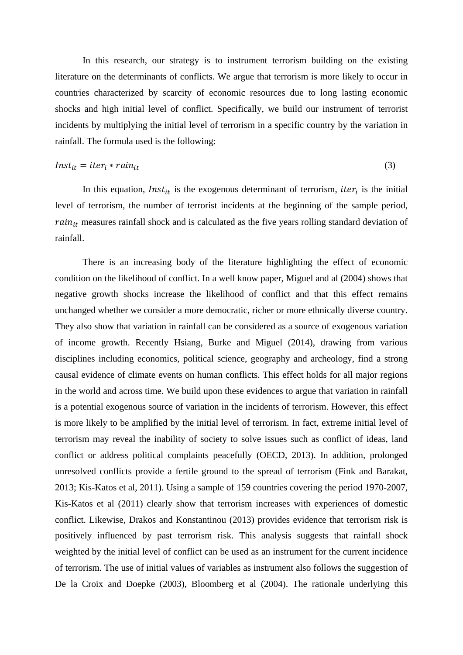In this research, our strategy is to instrument terrorism building on the existing literature on the determinants of conflicts. We argue that terrorism is more likely to occur in countries characterized by scarcity of economic resources due to long lasting economic shocks and high initial level of conflict. Specifically, we build our instrument of terrorist incidents by multiplying the initial level of terrorism in a specific country by the variation in rainfall. The formula used is the following:

#### $Inst_{it} = iter_i * rain_{it}$  (3)

In this equation,  $Inst_{it}$  is the exogenous determinant of terrorism, *iter<sub>i</sub>* is the initial level of terrorism, the number of terrorist incidents at the beginning of the sample period,  $rain_{it}$  measures rainfall shock and is calculated as the five years rolling standard deviation of rainfall.

There is an increasing body of the literature highlighting the effect of economic condition on the likelihood of conflict. In a well know paper, Miguel and al (2004) shows that negative growth shocks increase the likelihood of conflict and that this effect remains unchanged whether we consider a more democratic, richer or more ethnically diverse country. They also show that variation in rainfall can be considered as a source of exogenous variation of income growth. Recently Hsiang, Burke and Miguel (2014), drawing from various disciplines including economics, political science, geography and archeology, find a strong causal evidence of climate events on human conflicts. This effect holds for all major regions in the world and across time. We build upon these evidences to argue that variation in rainfall is a potential exogenous source of variation in the incidents of terrorism. However, this effect is more likely to be amplified by the initial level of terrorism. In fact, extreme initial level of terrorism may reveal the inability of society to solve issues such as conflict of ideas, land conflict or address political complaints peacefully (OECD, 2013). In addition, prolonged unresolved conflicts provide a fertile ground to the spread of terrorism (Fink and Barakat, 2013; Kis-Katos et al, 2011). Using a sample of 159 countries covering the period 1970-2007, Kis-Katos et al (2011) clearly show that terrorism increases with experiences of domestic conflict. Likewise, Drakos and Konstantinou (2013) provides evidence that terrorism risk is positively influenced by past terrorism risk. This analysis suggests that rainfall shock weighted by the initial level of conflict can be used as an instrument for the current incidence of terrorism. The use of initial values of variables as instrument also follows the suggestion of De la Croix and Doepke (2003), Bloomberg et al (2004). The rationale underlying this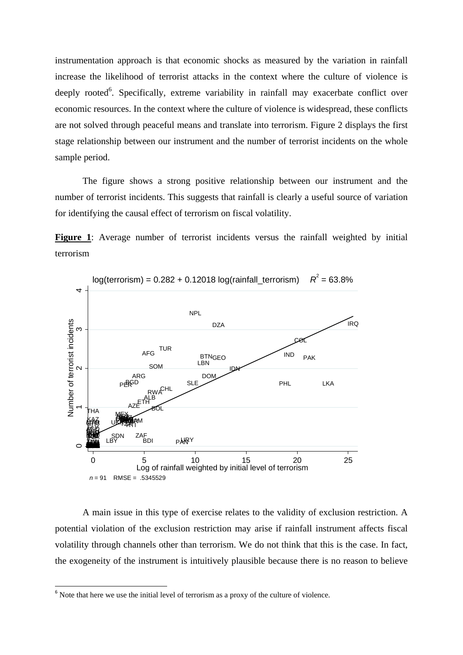instrumentation approach is that economic shocks as measured by the variation in rainfall increase the likelihood of terrorist attacks in the context where the culture of violence is deeply rooted<sup>6</sup>. Specifically, extreme variability in rainfall may exacerbate conflict over economic resources. In the context where the culture of violence is widespread, these conflicts are not solved through peaceful means and translate into terrorism. Figure 2 displays the first stage relationship between our instrument and the number of terrorist incidents on the whole sample period.

The figure shows a strong positive relationship between our instrument and the number of terrorist incidents. This suggests that rainfall is clearly a useful source of variation for identifying the causal effect of terrorism on fiscal volatility.

Figure 1: Average number of terrorist incidents versus the rainfall weighted by initial terrorism



A main issue in this type of exercise relates to the validity of exclusion restriction. A potential violation of the exclusion restriction may arise if rainfall instrument affects fiscal volatility through channels other than terrorism. We do not think that this is the case. In fact, the exogeneity of the instrument is intuitively plausible because there is no reason to believe

 $6$  Note that here we use the initial level of terrorism as a proxy of the culture of violence.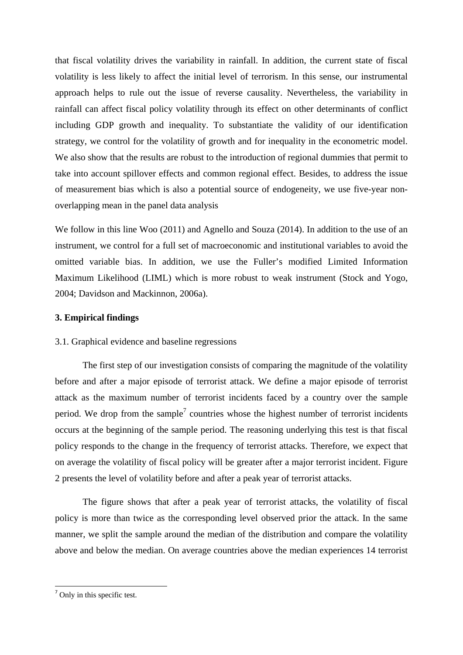that fiscal volatility drives the variability in rainfall. In addition, the current state of fiscal volatility is less likely to affect the initial level of terrorism. In this sense, our instrumental approach helps to rule out the issue of reverse causality. Nevertheless, the variability in rainfall can affect fiscal policy volatility through its effect on other determinants of conflict including GDP growth and inequality. To substantiate the validity of our identification strategy, we control for the volatility of growth and for inequality in the econometric model. We also show that the results are robust to the introduction of regional dummies that permit to take into account spillover effects and common regional effect. Besides, to address the issue of measurement bias which is also a potential source of endogeneity, we use five-year nonoverlapping mean in the panel data analysis

We follow in this line Woo (2011) and Agnello and Souza (2014). In addition to the use of an instrument, we control for a full set of macroeconomic and institutional variables to avoid the omitted variable bias. In addition, we use the Fuller's modified Limited Information Maximum Likelihood (LIML) which is more robust to weak instrument (Stock and Yogo, 2004; Davidson and Mackinnon, 2006a).

#### **3. Empirical findings**

#### 3.1. Graphical evidence and baseline regressions

The first step of our investigation consists of comparing the magnitude of the volatility before and after a major episode of terrorist attack. We define a major episode of terrorist attack as the maximum number of terrorist incidents faced by a country over the sample period. We drop from the sample<sup>7</sup> countries whose the highest number of terrorist incidents occurs at the beginning of the sample period. The reasoning underlying this test is that fiscal policy responds to the change in the frequency of terrorist attacks. Therefore, we expect that on average the volatility of fiscal policy will be greater after a major terrorist incident. Figure 2 presents the level of volatility before and after a peak year of terrorist attacks.

The figure shows that after a peak year of terrorist attacks, the volatility of fiscal policy is more than twice as the corresponding level observed prior the attack. In the same manner, we split the sample around the median of the distribution and compare the volatility above and below the median. On average countries above the median experiences 14 terrorist

<sup>7</sup> Only in this specific test.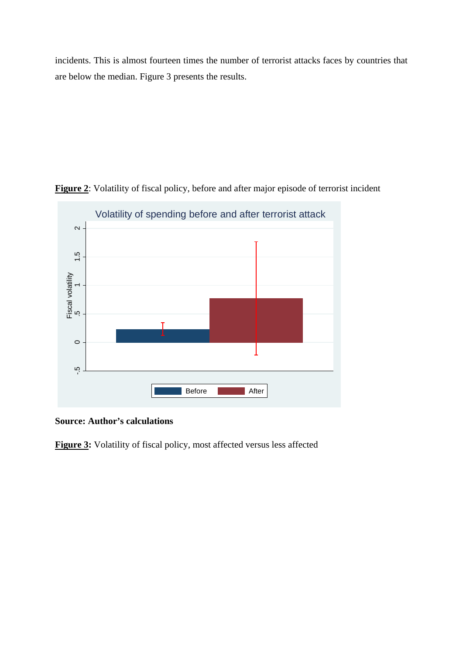incidents. This is almost fourteen times the number of terrorist attacks faces by countries that are below the median. Figure 3 presents the results.



**Figure 2**: Volatility of fiscal policy, before and after major episode of terrorist incident

### **Source: Author's calculations**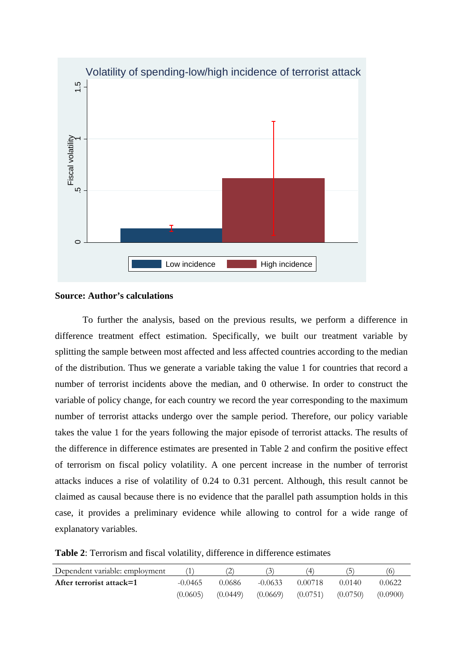

#### **Source: Author's calculations**

To further the analysis, based on the previous results, we perform a difference in difference treatment effect estimation. Specifically, we built our treatment variable by splitting the sample between most affected and less affected countries according to the median of the distribution. Thus we generate a variable taking the value 1 for countries that record a number of terrorist incidents above the median, and 0 otherwise. In order to construct the variable of policy change, for each country we record the year corresponding to the maximum number of terrorist attacks undergo over the sample period. Therefore, our policy variable takes the value 1 for the years following the major episode of terrorist attacks. The results of the difference in difference estimates are presented in Table 2 and confirm the positive effect of terrorism on fiscal policy volatility. A one percent increase in the number of terrorist attacks induces a rise of volatility of 0.24 to 0.31 percent. Although, this result cannot be claimed as causal because there is no evidence that the parallel path assumption holds in this case, it provides a preliminary evidence while allowing to control for a wide range of explanatory variables.

|  |  | <b>Table 2:</b> Terrorism and fiscal volatility, difference in difference estimates |  |
|--|--|-------------------------------------------------------------------------------------|--|
|  |  |                                                                                     |  |

| Dependent variable: employment |           |          |           |          |          |          |
|--------------------------------|-----------|----------|-----------|----------|----------|----------|
| After terrorist attack=1       | $-0.0465$ | 0.0686   | $-0.0633$ | 0.00718  | 0.0140   | 0.0622   |
|                                | (0.0605)  | (0.0449) | (0.0669)  | (0.0751) | (0.0750) | (0.0900) |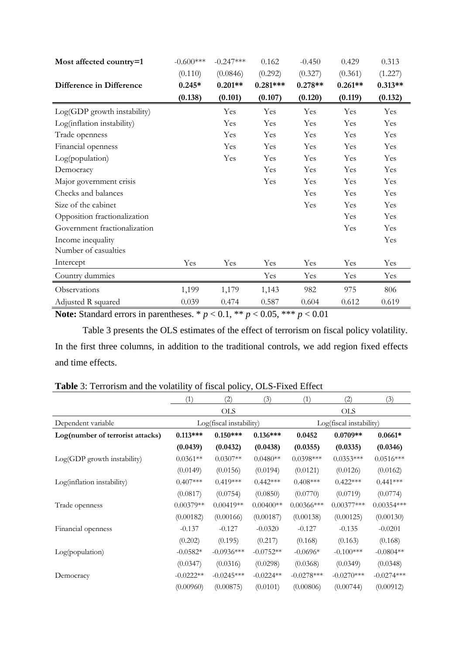| Most affected country=1      | $-0.600***$ | $-0.247***$ | 0.162      | $-0.450$  | 0.429     | 0.313     |
|------------------------------|-------------|-------------|------------|-----------|-----------|-----------|
|                              | (0.110)     | (0.0846)    | (0.292)    | (0.327)   | (0.361)   | (1.227)   |
| Difference in Difference     | $0.245*$    | $0.201**$   | $0.281***$ | $0.278**$ | $0.261**$ | $0.313**$ |
|                              | (0.138)     | (0.101)     | (0.107)    | (0.120)   | (0.119)   | (0.132)   |
| Log(GDP growth instability)  |             | Yes         | Yes        | Yes       | Yes       | Yes       |
| Log(inflation instability)   |             | Yes         | Yes        | Yes       | Yes       | Yes       |
| Trade openness               |             | Yes         | Yes        | Yes       | Yes       | Yes       |
| Financial openness           |             | Yes         | Yes        | Yes       | Yes       | Yes       |
| Log(population)              |             | Yes         | Yes        | Yes       | Yes       | Yes       |
| Democracy                    |             |             | Yes        | Yes       | Yes       | Yes       |
| Major government crisis      |             |             | Yes        | Yes       | Yes       | Yes       |
| Checks and balances          |             |             |            | Yes       | Yes       | Yes       |
| Size of the cabinet          |             |             |            | Yes       | Yes       | Yes       |
| Opposition fractionalization |             |             |            |           | Yes       | Yes       |
| Government fractionalization |             |             |            |           | Yes       | Yes       |
| Income inequality            |             |             |            |           |           | Yes       |
| Number of casualties         |             |             |            |           |           |           |
| Intercept                    | Yes         | Yes         | Yes        | Yes       | Yes       | Yes       |
| Country dummies              |             |             | Yes        | Yes       | Yes       | Yes       |
| Observations                 | 1,199       | 1,179       | 1,143      | 982       | 975       | 806       |
| Adjusted R squared           | 0.039       | 0.474       | 0.587      | 0.604     | 0.612     | 0.619     |

**Note:** Standard errors in parentheses.  $* p < 0.1$ ,  $** p < 0.05$ ,  $*** p < 0.01$ 

Table 3 presents the OLS estimates of the effect of terrorism on fiscal policy volatility. In the first three columns, in addition to the traditional controls, we add region fixed effects and time effects.

### **Table** 3: Terrorism and the volatility of fiscal policy, OLS-Fixed Effect

|                                  | (1)         | (2)                     | (3)         | (1)           | (2)                     | (3)          |
|----------------------------------|-------------|-------------------------|-------------|---------------|-------------------------|--------------|
|                                  |             | <b>OLS</b>              |             |               | <b>OLS</b>              |              |
| Dependent variable               |             | Log(fiscal instability) |             |               | Log(fiscal instability) |              |
| Log(number of terrorist attacks) | $0.113***$  | $0.150***$              | $0.136***$  | 0.0452        | $0.0709**$              | $0.0661*$    |
|                                  | (0.0439)    | (0.0432)                | (0.0438)    | (0.0355)      | (0.0335)                | (0.0346)     |
| Log(GDP growth instability)      | $0.0361**$  | $0.0307**$              | $0.0480**$  | $0.0398***$   | $0.0353***$             | $0.0516***$  |
|                                  | (0.0149)    | (0.0156)                | (0.0194)    | (0.0121)      | (0.0126)                | (0.0162)     |
| Log(inflation instability)       | $0.407***$  | $0.419***$              | $0.442***$  | $0.408***$    | $0.422***$              | $0.441***$   |
|                                  | (0.0817)    | (0.0754)                | (0.0850)    | (0.0770)      | (0.0719)                | (0.0774)     |
| Trade openness                   | $0.00379**$ | $0.00419**$             | $0.00400**$ | $0.00366$ *** | $0.00377***$            | $0.00354***$ |
|                                  | (0.00182)   | (0.00166)               | (0.00187)   | (0.00138)     | (0.00125)               | (0.00130)    |
| Financial openness               | $-0.137$    | $-0.127$                | $-0.0320$   | $-0.127$      | $-0.135$                | $-0.0201$    |
|                                  | (0.202)     | (0.195)                 | (0.217)     | (0.168)       | (0.163)                 | (0.168)      |
| Log(population)                  | $-0.0582*$  | $-0.0936***$            | $-0.0752**$ | $-0.0696*$    | $-0.100***$             | $-0.0804**$  |
|                                  | (0.0347)    | (0.0316)                | (0.0298)    | (0.0368)      | (0.0349)                | (0.0348)     |
| Democracy                        | $-0.0222**$ | $-0.0245***$            | $-0.0224**$ | $-0.0278***$  | $-0.0270***$            | $-0.0274***$ |
|                                  | (0.00960)   | (0.00875)               | (0.0101)    | (0.00806)     | (0.00744)               | (0.00912)    |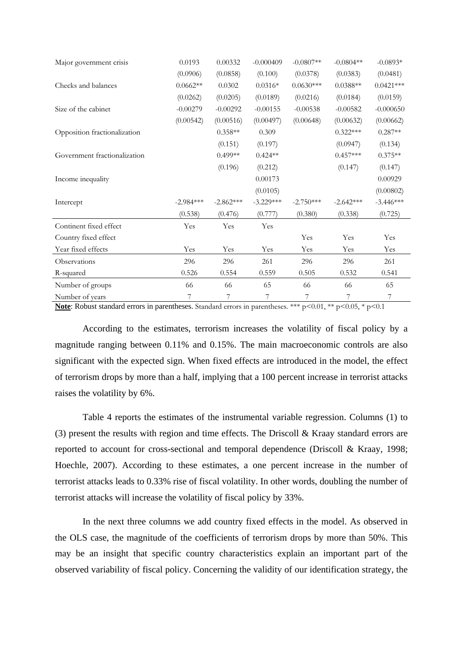| Major government crisis      | 0.0193      | 0.00332     | $-0.000409$ | $-0.0807**$ | $-0.0804**$ | $-0.0893*$  |
|------------------------------|-------------|-------------|-------------|-------------|-------------|-------------|
|                              | (0.0906)    | (0.0858)    | (0.100)     | (0.0378)    | (0.0383)    | (0.0481)    |
| Checks and balances          | $0.0662**$  | 0.0302      | $0.0316*$   | $0.0630***$ | $0.0388**$  | $0.0421***$ |
|                              | (0.0262)    | (0.0205)    | (0.0189)    | (0.0216)    | (0.0184)    | (0.0159)    |
| Size of the cabinet          | $-0.00279$  | $-0.00292$  | $-0.00155$  | $-0.00538$  | $-0.00582$  | $-0.000650$ |
|                              | (0.00542)   | (0.00516)   | (0.00497)   | (0.00648)   | (0.00632)   | (0.00662)   |
| Opposition fractionalization |             | $0.358**$   | 0.309       |             | $0.322***$  | $0.287**$   |
|                              |             | (0.151)     | (0.197)     |             | (0.0947)    | (0.134)     |
| Government fractionalization |             | $0.499**$   | $0.424**$   |             | $0.457***$  | $0.375**$   |
|                              |             | (0.196)     | (0.212)     |             | (0.147)     | (0.147)     |
| Income inequality            |             |             | 0.00173     |             |             | 0.00929     |
|                              |             |             | (0.0105)    |             |             | (0.00802)   |
| Intercept                    | $-2.984***$ | $-2.862***$ | $-3.229***$ | $-2.750***$ | $-2.642***$ | $-3.446***$ |
|                              | (0.538)     | (0.476)     | (0.777)     | (0.380)     | (0.338)     | (0.725)     |
| Continent fixed effect       | Yes         | Yes         | Yes         |             |             |             |
| Country fixed effect         |             |             |             | Yes         | Yes         | Yes         |
| Year fixed effects           | Yes         | Yes         | Yes         | Yes         | Yes         | Yes         |
| Observations                 | 296         | 296         | 261         | 296         | 296         | 261         |
| R-squared                    | 0.526       | 0.554       | 0.559       | 0.505       | 0.532       | 0.541       |
| Number of groups             | 66          | 66          | 65          | 66          | 66          | 65          |
| Number of years              | 7           | 7           | 7           | 7           | 7           | 7           |

**Note**: Robust standard errors in parentheses. Standard errors in parentheses. \*\*\* p<0.01, \*\* p<0.05, \* p<0.1

According to the estimates, terrorism increases the volatility of fiscal policy by a magnitude ranging between 0.11% and 0.15%. The main macroeconomic controls are also significant with the expected sign. When fixed effects are introduced in the model, the effect of terrorism drops by more than a half, implying that a 100 percent increase in terrorist attacks raises the volatility by 6%.

Table 4 reports the estimates of the instrumental variable regression. Columns (1) to (3) present the results with region and time effects. The Driscoll & Kraay standard errors are reported to account for cross-sectional and temporal dependence (Driscoll & Kraay, 1998; Hoechle, 2007). According to these estimates, a one percent increase in the number of terrorist attacks leads to 0.33% rise of fiscal volatility. In other words, doubling the number of terrorist attacks will increase the volatility of fiscal policy by 33%.

In the next three columns we add country fixed effects in the model. As observed in the OLS case, the magnitude of the coefficients of terrorism drops by more than 50%. This may be an insight that specific country characteristics explain an important part of the observed variability of fiscal policy. Concerning the validity of our identification strategy, the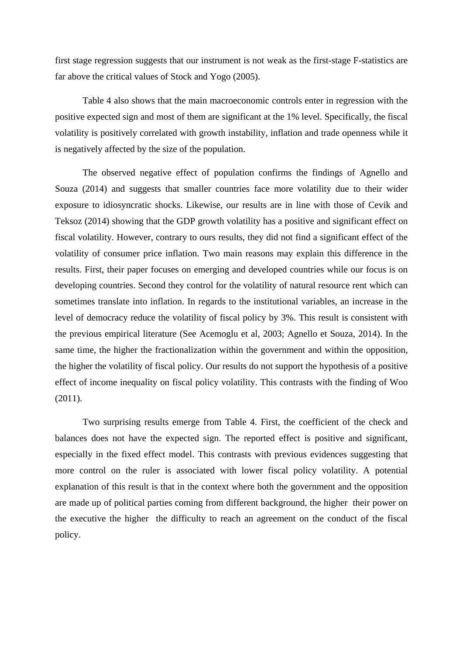first stage regression suggests that our instrument is not weak as the first-stage F-statistics are far above the critical values of Stock and Yogo (2005).

Table 4 also shows that the main macroeconomic controls enter in regression with the positive expected sign and most of them are significant at the 1% level. Specifically, the fiscal volatility is positively correlated with growth instability, inflation and trade openness while it is negatively affected by the size of the population.

The observed negative effect of population confirms the findings of Agnello and Souza (2014) and suggests that smaller countries face more volatility due to their wider exposure to idiosyncratic shocks. Likewise, our results are in line with those of Cevik and Teksoz (2014) showing that the GDP growth volatility has a positive and significant effect on fiscal volatility. However, contrary to ours results, they did not find a significant effect of the volatility of consumer price inflation. Two main reasons may explain this difference in the results. First, their paper focuses on emerging and developed countries while our focus is on developing countries. Second they control for the volatility of natural resource rent which can sometimes translate into inflation. In regards to the institutional variables, an increase in the level of democracy reduce the volatility of fiscal policy by 3%. This result is consistent with the previous empirical literature (See Acemoglu et al, 2003; Agnello et Souza, 2014). In the same time, the higher the fractionalization within the government and within the opposition, the higher the volatility of fiscal policy. Our results do not support the hypothesis of a positive effect of income inequality on fiscal policy volatility. This contrasts with the finding of Woo (2011).

Two surprising results emerge from Table 4. First, the coefficient of the check and balances does not have the expected sign. The reported effect is positive and significant, especially in the fixed effect model. This contrasts with previous evidences suggesting that more control on the ruler is associated with lower fiscal policy volatility. A potential explanation of this result is that in the context where both the government and the opposition are made up of political parties coming from different background, the higher their power on the executive the higher the difficulty to reach an agreement on the conduct of the fiscal policy.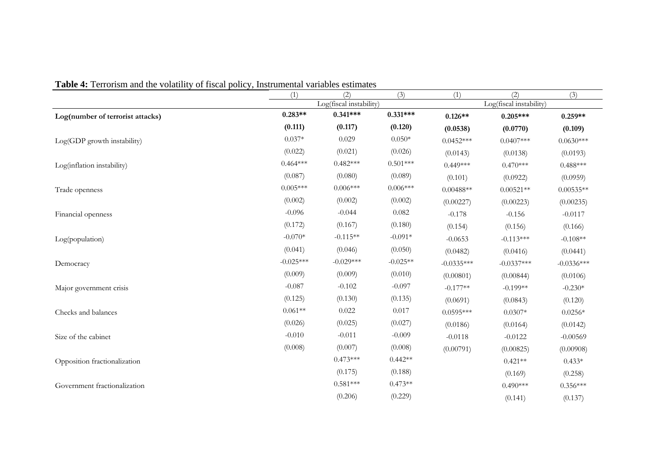|                                  | (1)         | (2)                     | (3)        | (1)          | (2)                     | (3)          |
|----------------------------------|-------------|-------------------------|------------|--------------|-------------------------|--------------|
|                                  |             | Log(fiscal instability) |            |              | Log(fiscal instability) |              |
| Log(number of terrorist attacks) | $0.283**$   | $0.341***$              | $0.331***$ | $0.126**$    | $0.205***$              | $0.259**$    |
|                                  | (0.111)     | (0.117)                 | (0.120)    | (0.0538)     | (0.0770)                | (0.109)      |
| Log(GDP growth instability)      | $0.037*$    | 0.029                   | $0.050*$   | $0.0452***$  | $0.0407***$             | $0.0630***$  |
|                                  | (0.022)     | (0.021)                 | (0.026)    | (0.0143)     | (0.0138)                | (0.0193)     |
| Log(inflation instability)       | $0.464***$  | $0.482***$              | $0.501***$ | $0.449***$   | $0.470***$              | $0.488***$   |
|                                  | (0.087)     | (0.080)                 | (0.089)    | (0.101)      | (0.0922)                | (0.0959)     |
| Trade openness                   | $0.005***$  | $0.006***$              | $0.006***$ | $0.00488**$  | $0.00521**$             | $0.00535**$  |
|                                  | (0.002)     | (0.002)                 | (0.002)    | (0.00227)    | (0.00223)               | (0.00235)    |
| Financial openness               | $-0.096$    | $-0.044$                | 0.082      | $-0.178$     | $-0.156$                | $-0.0117$    |
|                                  | (0.172)     | (0.167)                 | (0.180)    | (0.154)      | (0.156)                 | (0.166)      |
| Log(population)                  | $-0.070*$   | $-0.115**$              | $-0.091*$  | $-0.0653$    | $-0.113***$             | $-0.108**$   |
|                                  | (0.041)     | (0.046)                 | (0.050)    | (0.0482)     | (0.0416)                | (0.0441)     |
| Democracy                        | $-0.025***$ | $-0.029***$             | $-0.025**$ | $-0.0335***$ | $-0.0337***$            | $-0.0336***$ |
|                                  | (0.009)     | (0.009)                 | (0.010)    | (0.00801)    | (0.00844)               | (0.0106)     |
| Major government crisis          | $-0.087$    | $-0.102$                | $-0.097$   | $-0.177**$   | $-0.199**$              | $-0.230*$    |
|                                  | (0.125)     | (0.130)                 | (0.135)    | (0.0691)     | (0.0843)                | (0.120)      |
| Checks and balances              | $0.061**$   | 0.022                   | 0.017      | $0.0595***$  | $0.0307*$               | $0.0256*$    |
|                                  | (0.026)     | (0.025)                 | (0.027)    | (0.0186)     | (0.0164)                | (0.0142)     |
| Size of the cabinet              | $-0.010$    | $-0.011$                | $-0.009$   | $-0.0118$    | $-0.0122$               | $-0.00569$   |
|                                  | (0.008)     | (0.007)                 | (0.008)    | (0.00791)    | (0.00825)               | (0.00908)    |
| Opposition fractionalization     |             | $0.473***$              | $0.442**$  |              | $0.421**$               | $0.433*$     |
|                                  |             | (0.175)                 | (0.188)    |              | (0.169)                 | (0.258)      |
| Government fractionalization     |             | $0.581***$              | $0.473**$  |              | $0.490***$              | $0.356***$   |
|                                  |             | (0.206)                 | (0.229)    |              | (0.141)                 | (0.137)      |
|                                  |             |                         |            |              |                         |              |

**Table 4:** Terrorism and the volatility of fiscal policy, Instrumental variables estimates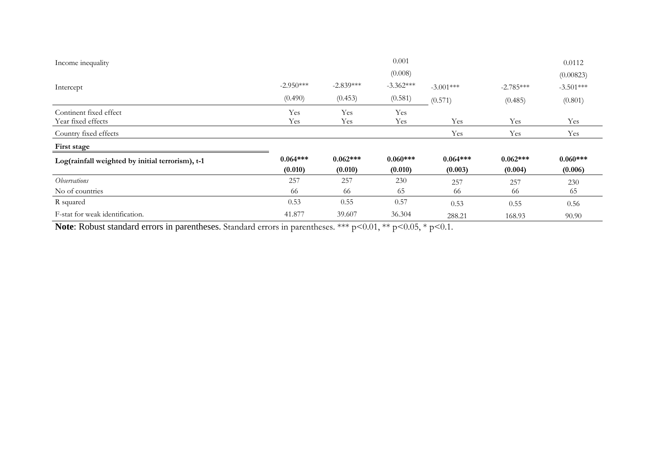| Income inequality                                |             |             | 0.001       |             |             | 0.0112      |
|--------------------------------------------------|-------------|-------------|-------------|-------------|-------------|-------------|
|                                                  |             |             | (0.008)     |             |             | (0.00823)   |
| Intercept                                        | $-2.950***$ | $-2.839***$ | $-3.362***$ | $-3.001***$ | $-2.785***$ | $-3.501***$ |
|                                                  | (0.490)     | (0.453)     | (0.581)     | (0.571)     | (0.485)     | (0.801)     |
| Continent fixed effect<br>Year fixed effects     | Yes         | Yes         | Yes         | Yes         | Yes         | Yes         |
|                                                  | Yes         | Yes         | Yes         |             |             |             |
| Country fixed effects                            |             |             |             | Yes         | Yes         | Yes         |
| <b>First stage</b>                               |             |             |             |             |             |             |
| Log(rainfall weighted by initial terrorism), t-1 | $0.064***$  | $0.062***$  | $0.060***$  | $0.064***$  | $0.062***$  | $0.060***$  |
|                                                  | (0.010)     | (0.010)     | (0.010)     | (0.003)     | (0.004)     | (0.006)     |
| <i>Observations</i>                              | 257         | 257         | 230         | 257         | 257         | 230         |
| No of countries                                  | 66          | 66          | 65          | 66          | -66         | 65          |
| R squared                                        | 0.53        | 0.55        | 0.57        | 0.53        | 0.55        | 0.56        |
| F-stat for weak identification.                  | 41.877      | 39.607      | 36.304      | 288.21      | 168.93      | 90.90       |

Note: Robust standard errors in parentheses. Standard errors in parentheses. \*\*\* p<0.01, \*\* p<0.05, \* p<0.1.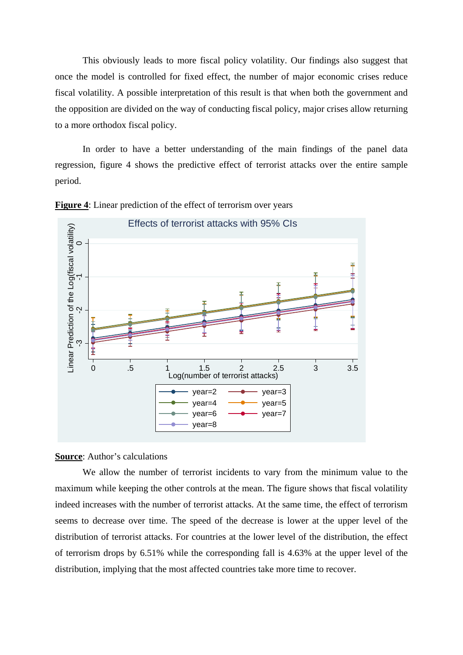This obviously leads to more fiscal policy volatility. Our findings also suggest that once the model is controlled for fixed effect, the number of major economic crises reduce fiscal volatility. A possible interpretation of this result is that when both the government and the opposition are divided on the way of conducting fiscal policy, major crises allow returning to a more orthodox fiscal policy.

In order to have a better understanding of the main findings of the panel data regression, figure 4 shows the predictive effect of terrorist attacks over the entire sample period.





#### **Source**: Author's calculations

We allow the number of terrorist incidents to vary from the minimum value to the maximum while keeping the other controls at the mean. The figure shows that fiscal volatility indeed increases with the number of terrorist attacks. At the same time, the effect of terrorism seems to decrease over time. The speed of the decrease is lower at the upper level of the distribution of terrorist attacks. For countries at the lower level of the distribution, the effect of terrorism drops by 6.51% while the corresponding fall is 4.63% at the upper level of the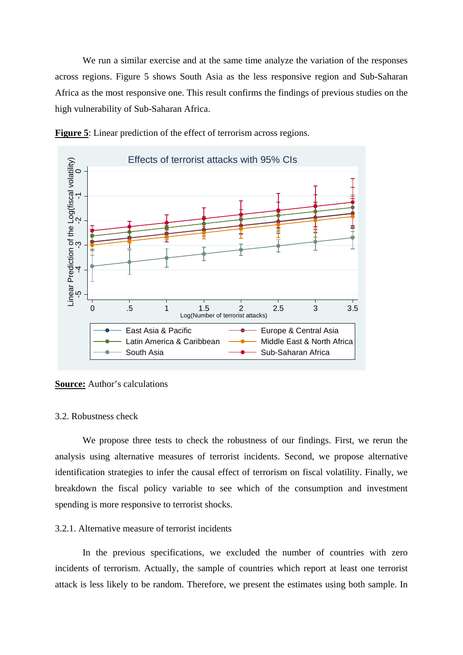We run a similar exercise and at the same time analyze the variation of the responses across regions. Figure 5 shows South Asia as the less responsive region and Sub-Saharan Africa as the most responsive one. This result confirms the findings of previous studies on the high vulnerability of Sub-Saharan Africa.



**Figure 5**: Linear prediction of the effect of terrorism across regions.

**Source:** Author's calculations

#### 3.2. Robustness check

We propose three tests to check the robustness of our findings. First, we rerun the analysis using alternative measures of terrorist incidents. Second, we propose alternative identification strategies to infer the causal effect of terrorism on fiscal volatility. Finally, we breakdown the fiscal policy variable to see which of the consumption and investment spending is more responsive to terrorist shocks.

#### 3.2.1. Alternative measure of terrorist incidents

In the previous specifications, we excluded the number of countries with zero incidents of terrorism. Actually, the sample of countries which report at least one terrorist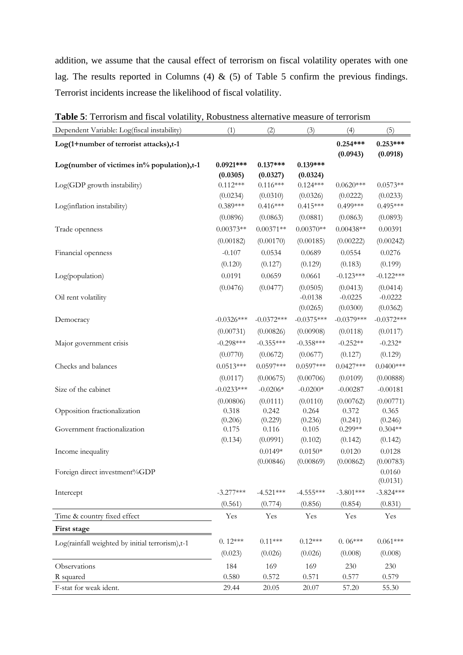addition, we assume that the causal effect of terrorism on fiscal volatility operates with one lag. The results reported in Columns (4)  $\&$  (5) of Table 5 confirm the previous findings. Terrorist incidents increase the likelihood of fiscal volatility.

| Dependent Variable: Log(fiscal instability)     | (1)          | (2)          | (3)          | (4)          | (5)          |
|-------------------------------------------------|--------------|--------------|--------------|--------------|--------------|
| Log(1+number of terrorist attacks),t-1          |              |              |              | $0.254***$   | $0.253***$   |
|                                                 |              |              |              | (0.0943)     | (0.0918)     |
| Log(number of victimes in% population),t-1      | $0.0921***$  | $0.137***$   | $0.139***$   |              |              |
|                                                 | (0.0305)     | (0.0327)     | (0.0324)     |              |              |
| Log(GDP growth instability)                     | $0.112***$   | $0.116***$   | $0.124***$   | $0.0620***$  | $0.0573**$   |
|                                                 | (0.0234)     | (0.0310)     | (0.0326)     | (0.0222)     | (0.0233)     |
| Log(inflation instability)                      | $0.389***$   | $0.416***$   | $0.415***$   | $0.499***$   | $0.495***$   |
|                                                 | (0.0896)     | (0.0863)     | (0.0881)     | (0.0863)     | (0.0893)     |
| Trade openness                                  | $0.00373**$  | $0.00371**$  | $0.00370**$  | $0.00438**$  | 0.00391      |
|                                                 | (0.00182)    | (0.00170)    | (0.00185)    | (0.00222)    | (0.00242)    |
| Financial openness                              | $-0.107$     | 0.0534       | 0.0689       | 0.0554       | 0.0276       |
|                                                 | (0.120)      | (0.127)      | (0.129)      | (0.183)      | (0.199)      |
| Log(population)                                 | 0.0191       | 0.0659       | 0.0661       | $-0.123***$  | $-0.122***$  |
|                                                 | (0.0476)     | (0.0477)     | (0.0505)     | (0.0413)     | (0.0414)     |
| Oil rent volatility                             |              |              | $-0.0138$    | $-0.0225$    | $-0.0222$    |
|                                                 |              |              | (0.0265)     | (0.0300)     | (0.0362)     |
| Democracy                                       | $-0.0326***$ | $-0.0372***$ | $-0.0375***$ | $-0.0379***$ | $-0.0372***$ |
|                                                 | (0.00731)    | (0.00826)    | (0.00908)    | (0.0118)     | (0.0117)     |
| Major government crisis                         | $-0.298***$  | $-0.355***$  | $-0.358***$  | $-0.252**$   | $-0.232*$    |
|                                                 | (0.0770)     | (0.0672)     | (0.0677)     | (0.127)      | (0.129)      |
| Checks and balances                             | $0.0513***$  | $0.0597***$  | $0.0597***$  | $0.0427***$  | $0.0400***$  |
|                                                 | (0.0117)     | (0.00675)    | (0.00706)    | (0.0109)     | (0.00888)    |
| Size of the cabinet                             | $-0.0233***$ | $-0.0206*$   | $-0.0200*$   | $-0.00287$   | $-0.00181$   |
|                                                 | (0.00806)    | (0.0111)     | (0.0110)     | (0.00762)    | (0.00771)    |
| Opposition fractionalization                    | 0.318        | 0.242        | 0.264        | 0.372        | 0.365        |
|                                                 | (0.206)      | (0.229)      | (0.236)      | (0.241)      | (0.246)      |
| Government fractionalization                    | 0.175        | 0.116        | 0.105        | $0.299**$    | $0.304**$    |
|                                                 | (0.134)      | (0.0991)     | (0.102)      | (0.142)      | (0.142)      |
| Income inequality                               |              | $0.0149*$    | $0.0150*$    | 0.0120       | 0.0128       |
|                                                 |              | (0.00846)    | (0.00869)    | (0.00862)    | (0.00783)    |
| Foreign direct investment%GDP                   |              |              |              |              | 0.0160       |
|                                                 |              |              |              | $-3.801***$  | (0.0131)     |
| Intercept                                       | $-3.277***$  | $-4.521***$  | $-4.555***$  |              | $-3.824***$  |
|                                                 | (0.561)      | (0.774)      | (0.856)      | (0.854)      | (0.831)      |
| Time & country fixed effect                     | Yes          | Yes          | Yes          | Yes          | Yes          |
| First stage                                     |              |              |              |              |              |
| Log(rainfall weighted by initial terrorism),t-1 | $0.12***$    | $0.11***$    | $0.12***$    | $0.06***$    | $0.061***$   |
|                                                 | (0.023)      | (0.026)      | (0.026)      | (0.008)      | (0.008)      |
| Observations                                    | 184          | 169          | 169          | 230          | 230          |
| R squared                                       | 0.580        | 0.572        | 0.571        | 0.577        | 0.579        |
| F-stat for weak ident.                          | 29.44        | 20.05        | 20.07        | 57.20        | 55.30        |

**Table 5**: Terrorism and fiscal volatility, Robustness alternative measure of terrorism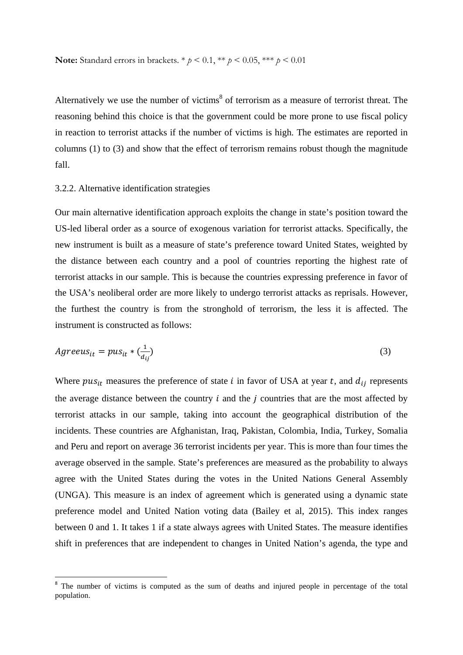**Note:** Standard errors in brackets. \* *p* < 0.1, \*\* *p* < 0.05, \*\*\* *p* < 0.01

Alternatively we use the number of victims<sup>8</sup> of terrorism as a measure of terrorist threat. The reasoning behind this choice is that the government could be more prone to use fiscal policy in reaction to terrorist attacks if the number of victims is high. The estimates are reported in columns (1) to (3) and show that the effect of terrorism remains robust though the magnitude fall.

#### 3.2.2. Alternative identification strategies

Our main alternative identification approach exploits the change in state's position toward the US-led liberal order as a source of exogenous variation for terrorist attacks. Specifically, the new instrument is built as a measure of state's preference toward United States, weighted by the distance between each country and a pool of countries reporting the highest rate of terrorist attacks in our sample. This is because the countries expressing preference in favor of the USA's neoliberal order are more likely to undergo terrorist attacks as reprisals. However, the furthest the country is from the stronghold of terrorism, the less it is affected. The instrument is constructed as follows:

$$
Agreeus_{it} = pus_{it} * (\frac{1}{d_{ij}})
$$
\n
$$
(3)
$$

Where  $pus_{it}$  measures the preference of state *i* in favor of USA at year *t*, and  $d_{ij}$  represents the average distance between the country  $i$  and the  $j$  countries that are the most affected by terrorist attacks in our sample, taking into account the geographical distribution of the incidents. These countries are Afghanistan, Iraq, Pakistan, Colombia, India, Turkey, Somalia and Peru and report on average 36 terrorist incidents per year. This is more than four times the average observed in the sample. State's preferences are measured as the probability to always agree with the United States during the votes in the United Nations General Assembly (UNGA). This measure is an index of agreement which is generated using a dynamic state preference model and United Nation voting data (Bailey et al, 2015). This index ranges between 0 and 1. It takes 1 if a state always agrees with United States. The measure identifies shift in preferences that are independent to changes in United Nation's agenda, the type and

<sup>&</sup>lt;sup>8</sup> The number of victims is computed as the sum of deaths and injured people in percentage of the total population.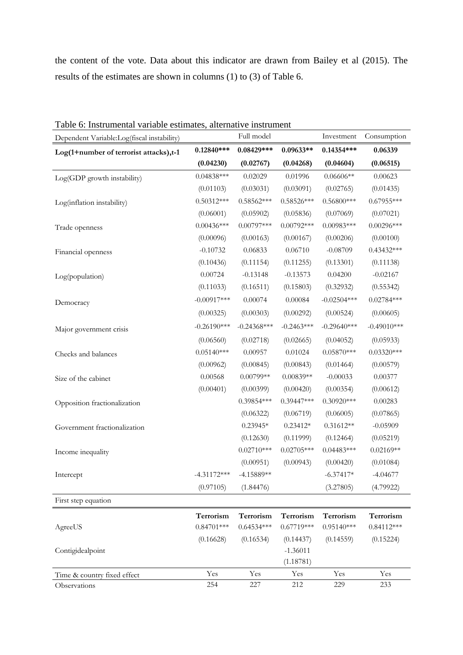the content of the vote. Data about this indicator are drawn from Bailey et al (2015). The results of the estimates are shown in columns (1) to (3) of Table 6.

| Dependent Variable:Log(fiscal instability) |               | Full model    |              | Investment    | Consumption   |
|--------------------------------------------|---------------|---------------|--------------|---------------|---------------|
| Log(1+number of terrorist attacks),t-1     | $0.12840***$  | 0.08429***    | $0.09633**$  | 0.14354***    | 0.06339       |
|                                            | (0.04230)     | (0.02767)     | (0.04268)    | (0.04604)     | (0.06515)     |
| Log(GDP growth instability)                | $0.04838***$  | 0.02029       | 0.01996      | $0.06606**$   | 0.00623       |
|                                            | (0.01103)     | (0.03031)     | (0.03091)    | (0.02765)     | (0.01435)     |
| Log(inflation instability)                 | $0.50312***$  | $0.58562***$  | $0.58526***$ | $0.56800***$  | $0.67955***$  |
|                                            | (0.06001)     | (0.05902)     | (0.05836)    | (0.07069)     | (0.07021)     |
| Trade openness                             | $0.00436***$  | $0.00797***$  | $0.00792***$ | $0.00983***$  | $0.00296***$  |
|                                            | (0.00096)     | (0.00163)     | (0.00167)    | (0.00206)     | (0.00100)     |
| Financial openness                         | $-0.10732$    | 0.06833       | 0.06710      | $-0.08709$    | $0.43432***$  |
|                                            | (0.10436)     | (0.11154)     | (0.11255)    | (0.13301)     | (0.11138)     |
| Log(population)                            | 0.00724       | $-0.13148$    | $-0.13573$   | 0.04200       | $-0.02167$    |
|                                            | (0.11033)     | (0.16511)     | (0.15803)    | (0.32932)     | (0.55342)     |
| Democracy                                  | $-0.00917***$ | 0.00074       | 0.00084      | $-0.02504***$ | $0.02784***$  |
|                                            | (0.00325)     | (0.00303)     | (0.00292)    | (0.00524)     | (0.00605)     |
| Major government crisis                    | $-0.26190***$ | $-0.24368***$ | $-0.2463***$ | $-0.29640***$ | $-0.49010***$ |
|                                            | (0.06560)     | (0.02718)     | (0.02665)    | (0.04052)     | (0.05933)     |
| Checks and balances                        | $0.05140***$  | 0.00957       | 0.01024      | $0.05870***$  | $0.03320***$  |
|                                            | (0.00962)     | (0.00845)     | (0.00843)    | (0.01464)     | (0.00579)     |
| Size of the cabinet                        | 0.00568       | $0.00799**$   | $0.00839**$  | $-0.00033$    | 0.00377       |
|                                            | (0.00401)     | (0.00399)     | (0.00420)    | (0.00354)     | (0.00612)     |
| Opposition fractionalization               |               | $0.39854***$  | $0.39447***$ | $0.30920***$  | 0.00283       |
|                                            |               | (0.06322)     | (0.06719)    | (0.06005)     | (0.07865)     |
| Government fractionalization               |               | $0.23945*$    | $0.23412*$   | $0.31612**$   | $-0.05909$    |
|                                            |               | (0.12630)     | (0.11999)    | (0.12464)     | (0.05219)     |
| Income inequality                          |               | $0.02710***$  | $0.02705***$ | $0.04483***$  | $0.02169**$   |
|                                            |               | (0.00951)     | (0.00943)    | (0.00420)     | (0.01084)     |
| Intercept                                  | $-4.31172***$ | $-4.15889**$  |              | $-6.37417*$   | $-4.04677$    |
|                                            | (0.97105)     | (1.84476)     |              | (3.27805)     | (4.79922)     |
| First step equation                        |               |               |              |               |               |
|                                            | Terrorism     | Terrorism     | Terrorism    | Terrorism     | Terrorism     |
| AgreeUS                                    | $0.84701***$  | $0.64534***$  | $0.67719***$ | $0.95140***$  | $0.84112***$  |
|                                            | (0.16628)     | (0.16534)     | (0.14437)    | (0.14559)     | (0.15224)     |
| Contigidealpoint                           |               |               | $-1.36011$   |               |               |
|                                            |               |               | (1.18781)    |               |               |

Time & country fixed effect Yes Yes Yes Yes Yes Yes Yes Yes<br>
Observations 254 227 212 229 233 Observations 254 227 212 229 233

Table 6: Instrumental variable estimates, alternative instrument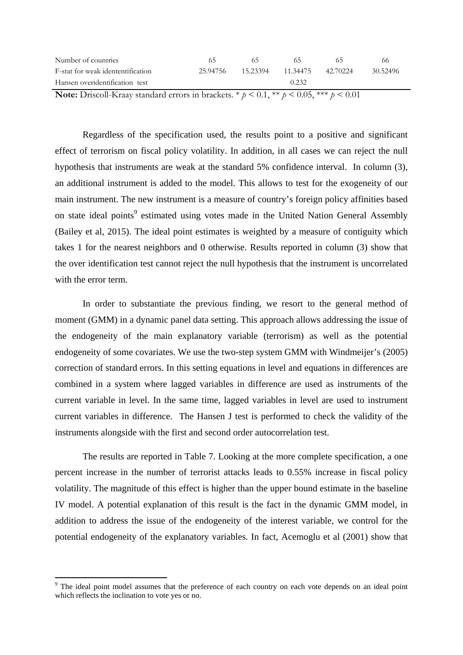| Number of countries               | 65       |          |          |          | 66       |
|-----------------------------------|----------|----------|----------|----------|----------|
| F-stat for weak idententification | 25.94756 | 15.23394 | 11.34475 | 42.70224 | 30.52496 |
| Hansen overidentification test    |          |          | 0.232    |          |          |

**Note:** Driscoll-Kraay standard errors in brackets.  $* p < 0.1$ ,  $** p < 0.05$ ,  $*** p < 0.01$ 

Regardless of the specification used, the results point to a positive and significant effect of terrorism on fiscal policy volatility. In addition, in all cases we can reject the null hypothesis that instruments are weak at the standard 5% confidence interval. In column (3), an additional instrument is added to the model. This allows to test for the exogeneity of our main instrument. The new instrument is a measure of country's foreign policy affinities based on state ideal points<sup>9</sup> estimated using votes made in the United Nation General Assembly (Bailey et al, 2015). The ideal point estimates is weighted by a measure of contiguity which takes 1 for the nearest neighbors and 0 otherwise. Results reported in column (3) show that the over identification test cannot reject the null hypothesis that the instrument is uncorrelated with the error term.

In order to substantiate the previous finding, we resort to the general method of moment (GMM) in a dynamic panel data setting. This approach allows addressing the issue of the endogeneity of the main explanatory variable (terrorism) as well as the potential endogeneity of some covariates. We use the two-step system GMM with Windmeijer's (2005) correction of standard errors. In this setting equations in level and equations in differences are combined in a system where lagged variables in difference are used as instruments of the current variable in level. In the same time, lagged variables in level are used to instrument current variables in difference. The Hansen J test is performed to check the validity of the instruments alongside with the first and second order autocorrelation test.

The results are reported in Table 7. Looking at the more complete specification, a one percent increase in the number of terrorist attacks leads to 0.55% increase in fiscal policy volatility. The magnitude of this effect is higher than the upper bound estimate in the baseline IV model. A potential explanation of this result is the fact in the dynamic GMM model, in addition to address the issue of the endogeneity of the interest variable, we control for the potential endogeneity of the explanatory variables. In fact, Acemoglu et al (2001) show that

<sup>&</sup>lt;sup>9</sup> The ideal point model assumes that the preference of each country on each vote depends on an ideal point which reflects the inclination to vote yes or no.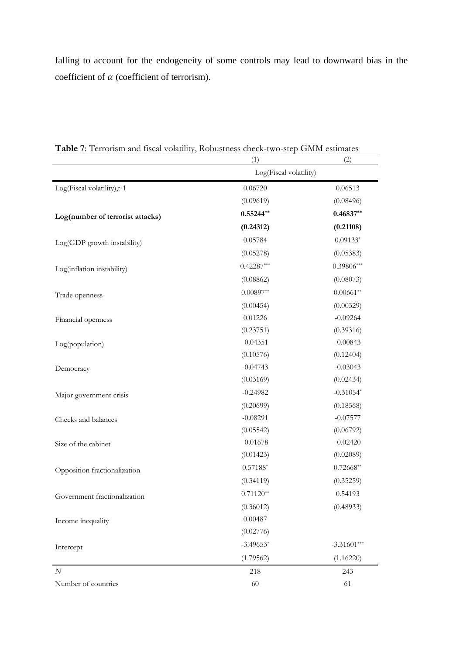falling to account for the endogeneity of some controls may lead to downward bias in the coefficient of  $\alpha$  (coefficient of terrorism).

| <b>Table</b> 7. Temphsin and itsear volatinty, Nobustiless encek-two-step Ofnin estimates | (1)                    | (2)           |
|-------------------------------------------------------------------------------------------|------------------------|---------------|
|                                                                                           | Log(Fiscal volatility) |               |
| Log(Fiscal volatility),t-1                                                                | 0.06720                | 0.06513       |
|                                                                                           | (0.09619)              | (0.08496)     |
| Log(number of terrorist attacks)                                                          | $0.55244**$            | $0.46837**$   |
|                                                                                           | (0.24312)              | (0.21108)     |
| Log(GDP growth instability)                                                               | 0.05784                | $0.09133*$    |
|                                                                                           | (0.05278)              | (0.05383)     |
| Log(inflation instability)                                                                | $0.42287***$           | $0.39806***$  |
|                                                                                           | (0.08862)              | (0.08073)     |
| Trade openness                                                                            | $0.00897**$            | $0.00661**$   |
|                                                                                           | (0.00454)              | (0.00329)     |
| Financial openness                                                                        | 0.01226                | $-0.09264$    |
|                                                                                           | (0.23751)              | (0.39316)     |
| Log(population)                                                                           | $-0.04351$             | $-0.00843$    |
|                                                                                           | (0.10576)              | (0.12404)     |
| Democracy                                                                                 | $-0.04743$             | $-0.03043$    |
|                                                                                           | (0.03169)              | (0.02434)     |
| Major government crisis                                                                   | $-0.24982$             | $-0.31054*$   |
|                                                                                           | (0.20699)              | (0.18568)     |
| Checks and balances                                                                       | $-0.08291$             | $-0.07577$    |
|                                                                                           | (0.05542)              | (0.06792)     |
| Size of the cabinet                                                                       | $-0.01678$             | $-0.02420$    |
|                                                                                           | (0.01423)              | (0.02089)     |
| Opposition fractionalization                                                              | $0.57188*$             | $0.72668**$   |
|                                                                                           | (0.34119)              | (0.35259)     |
| Government fractionalization                                                              | $0.71120**$            | 0.54193       |
|                                                                                           | (0.36012)              | (0.48933)     |
| Income inequality                                                                         | 0.00487                |               |
|                                                                                           | (0.02776)              |               |
| Intercept                                                                                 | $-3.49653*$            | $-3.31601***$ |
|                                                                                           | (1.79562)              | (1.16220)     |
| N                                                                                         | 218                    | 243           |
| Number of countries                                                                       | 60                     | 61            |

**Table 7**: Terrorism and fiscal volatility, Robustness check-two-step GMM estimates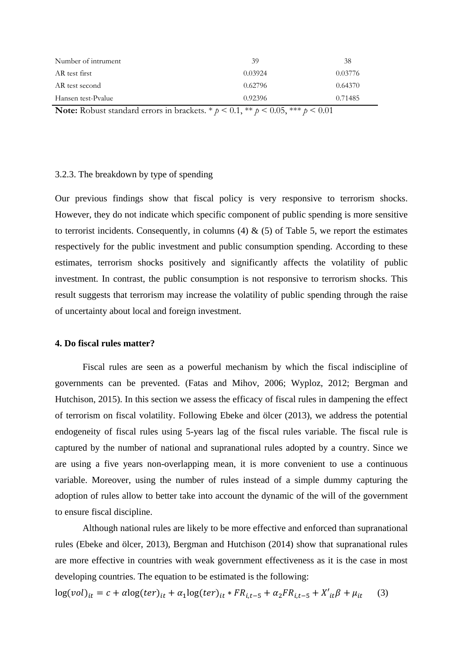| Number of intrument                                                                                                                                                                                             | 39      | 38      |  |
|-----------------------------------------------------------------------------------------------------------------------------------------------------------------------------------------------------------------|---------|---------|--|
| AR test first                                                                                                                                                                                                   | 0.03924 | 0.03776 |  |
| AR test second                                                                                                                                                                                                  | 0.62796 | 0.64370 |  |
| Hansen test-Pvalue                                                                                                                                                                                              | 0.92396 | 0.71485 |  |
| $\mathbf{M}$ $\mathbf{L}$ $\mathbf{D}$ $\mathbf{1}$ $\mathbf{L}$ $\mathbf{L}$ $\mathbf{I}$ $\mathbf{I}$ $\mathbf{I}$<br>$1$ , $4$ , $2$ $0$ $4$ $4$ $4$ $6$ $2$ $0$ $0$ $0$ $0$ $4$ $4$ $4$ $2$ $0$ $0$ $0$ $0$ |         |         |  |

**Note:** Robust standard errors in brackets. \*  $p < 0.1$ , \*\*  $p < 0.05$ , \*\*\*  $p < 0.01$ 

#### 3.2.3. The breakdown by type of spending

Our previous findings show that fiscal policy is very responsive to terrorism shocks. However, they do not indicate which specific component of public spending is more sensitive to terrorist incidents. Consequently, in columns  $(4)$  &  $(5)$  of Table 5, we report the estimates respectively for the public investment and public consumption spending. According to these estimates, terrorism shocks positively and significantly affects the volatility of public investment. In contrast, the public consumption is not responsive to terrorism shocks. This result suggests that terrorism may increase the volatility of public spending through the raise of uncertainty about local and foreign investment.

#### **4. Do fiscal rules matter?**

Fiscal rules are seen as a powerful mechanism by which the fiscal indiscipline of governments can be prevented. (Fatas and Mihov, 2006; Wyploz, 2012; Bergman and Hutchison, 2015). In this section we assess the efficacy of fiscal rules in dampening the effect of terrorism on fiscal volatility. Following Ebeke and ölcer (2013), we address the potential endogeneity of fiscal rules using 5-years lag of the fiscal rules variable. The fiscal rule is captured by the number of national and supranational rules adopted by a country. Since we are using a five years non-overlapping mean, it is more convenient to use a continuous variable. Moreover, using the number of rules instead of a simple dummy capturing the adoption of rules allow to better take into account the dynamic of the will of the government to ensure fiscal discipline.

Although national rules are likely to be more effective and enforced than supranational rules (Ebeke and ölcer, 2013), Bergman and Hutchison (2014) show that supranational rules are more effective in countries with weak government effectiveness as it is the case in most developing countries. The equation to be estimated is the following:

 $\log(vol)_{it} = c + \alpha \log(ter)_{it} + \alpha_1 \log(ter)_{it} * FR_{i,t-5} + \alpha_2 FR_{i,t-5} + X'_{it} \beta + \mu_{it}$  (3)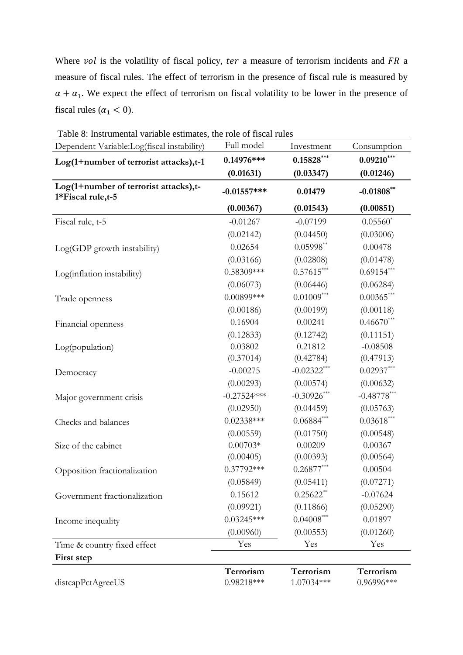Where vol is the volatility of fiscal policy, ter a measure of terrorism incidents and FR a measure of fiscal rules. The effect of terrorism in the presence of fiscal rule is measured by  $\alpha + \alpha_1$ . We expect the effect of terrorism on fiscal volatility to be lower in the presence of fiscal rules ( $\alpha_1 < 0$ ).

| Dependent Variable:Log(fiscal instability)                 | Full model                | Investment              | Consumption               |
|------------------------------------------------------------|---------------------------|-------------------------|---------------------------|
| Log(1+number of terrorist attacks),t-1                     | $0.14976***$              | $0.15828***$            | $0.09210***$              |
|                                                            | (0.01631)                 | (0.03347)               | (0.01246)                 |
| Log(1+number of terrorist attacks),t-<br>1*Fiscal rule,t-5 | $-0.01557***$             | 0.01479                 | $-0.01808**$              |
|                                                            | (0.00367)                 | (0.01543)               | (0.00851)                 |
| Fiscal rule, t-5                                           | $-0.01267$                | $-0.07199$              | $0.05560*$                |
|                                                            | (0.02142)                 | (0.04450)               | (0.03006)                 |
| Log(GDP growth instability)                                | 0.02654                   | $0.05998**$             | 0.00478                   |
|                                                            | (0.03166)                 | (0.02808)               | (0.01478)                 |
| Log(inflation instability)                                 | $0.58309***$              | $0.57615***$            | $0.69154***$              |
|                                                            | (0.06073)                 | (0.06446)               | (0.06284)                 |
| Trade openness                                             | $0.00899$ ***             | $0.01009***$            | $0.00365***$              |
|                                                            | (0.00186)                 | (0.00199)               | (0.00118)                 |
| Financial openness                                         | 0.16904                   | 0.00241                 | $0.46670***$              |
|                                                            | (0.12833)                 | (0.12742)               | (0.11151)                 |
| Log(population)                                            | 0.03802                   | 0.21812                 | $-0.08508$                |
|                                                            | (0.37014)                 | (0.42784)               | (0.47913)                 |
| Democracy                                                  | $-0.00275$                | $-0.02322***$           | $0.02937***$              |
|                                                            | (0.00293)                 | (0.00574)               | (0.00632)                 |
| Major government crisis                                    | $-0.27524***$             | $-0.30926***$           | $-0.48778***$             |
|                                                            | (0.02950)                 | (0.04459)               | (0.05763)                 |
| Checks and balances                                        | $0.02338***$              | $0.06884***$            | $0.03618***$              |
|                                                            | (0.00559)                 | (0.01750)               | (0.00548)                 |
| Size of the cabinet                                        | $0.00703*$                | 0.00209                 | 0.00367                   |
|                                                            | (0.00405)                 | (0.00393)               | (0.00564)                 |
| Opposition fractionalization                               | $0.37792***$              | $0.26877***$            | 0.00504                   |
|                                                            | (0.05849)                 | (0.05411)               | (0.07271)                 |
| Government fractionalization                               | 0.15612                   | $0.25622**$             | $-0.07624$                |
|                                                            | (0.09921)                 | (0.11866)               | (0.05290)                 |
| Income inequality                                          | $0.03245***$              | $0.04008***$            | 0.01897                   |
|                                                            | (0.00960)                 | (0.00553)               | (0.01260)                 |
| Time & country fixed effect                                | Yes                       | Yes                     | Yes                       |
| First step                                                 |                           |                         |                           |
| distcapPctAgreeUS                                          | Terrorism<br>$0.98218***$ | Terrorism<br>1.07034*** | Terrorism<br>$0.96996***$ |

Table 8: Instrumental variable estimates, the role of fiscal rules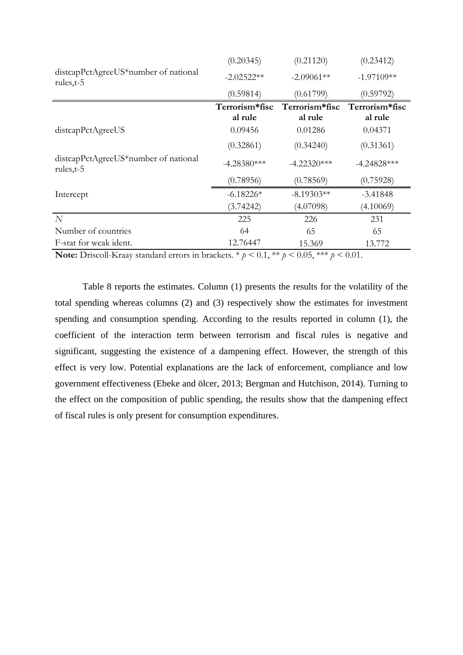|                                                      | (0.20345)      | (0.21120)      | (0.23412)      |
|------------------------------------------------------|----------------|----------------|----------------|
| distcapPctAgreeUS*number of national<br>rules, $t-5$ | $-2.02522**$   | $-2.09061**$   | $-1.97109**$   |
|                                                      | (0.59814)      | (0.61799)      | (0.59792)      |
|                                                      | Terrorism*fisc | Terrorism*fisc | Terrorism*fisc |
|                                                      | al rule        | al rule        | al rule        |
| distcapPctAgreeUS                                    | 0.09456        | 0.01286        | 0.04371        |
|                                                      | (0.32861)      | (0.34240)      | (0.31361)      |
| distcapPctAgreeUS*number of national<br>rules, $t-5$ | $-4.28380***$  | $-4.22320***$  | $-4.24828***$  |
|                                                      | (0.78956)      | (0.78569)      | (0.75928)      |
| Intercept                                            | $-6.18226*$    | $-8.19303**$   | $-3.41848$     |
|                                                      | (3.74242)      | (4.07098)      | (4.10069)      |
| $\overline{N}$                                       | 225            | 226            | 231            |
| Number of countries                                  | 64             | 65             | 65             |
| F-stat for weak ident.                               | 12.76447       | 15.369         | 13.772         |

**Note:** Driscoll-Kraay standard errors in brackets. \*  $p < 0.1$ , \*\*  $p < 0.05$ , \*\*\*  $p < 0.01$ .

Table 8 reports the estimates. Column (1) presents the results for the volatility of the total spending whereas columns (2) and (3) respectively show the estimates for investment spending and consumption spending. According to the results reported in column (1), the coefficient of the interaction term between terrorism and fiscal rules is negative and significant, suggesting the existence of a dampening effect. However, the strength of this effect is very low. Potential explanations are the lack of enforcement, compliance and low government effectiveness (Ebeke and ölcer, 2013; Bergman and Hutchison, 2014). Turning to the effect on the composition of public spending, the results show that the dampening effect of fiscal rules is only present for consumption expenditures.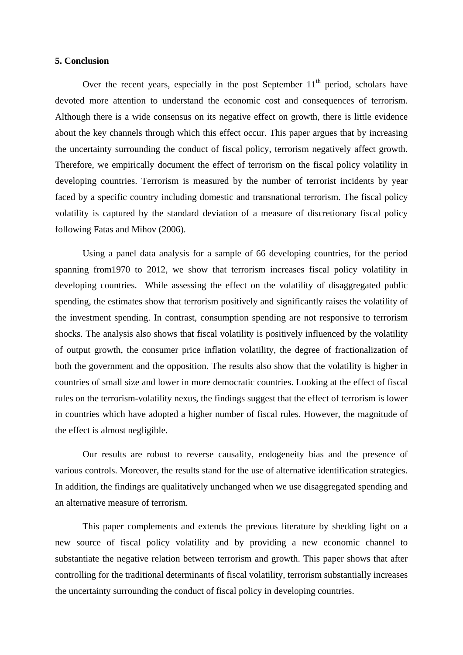#### **5. Conclusion**

Over the recent years, especially in the post September  $11<sup>th</sup>$  period, scholars have devoted more attention to understand the economic cost and consequences of terrorism. Although there is a wide consensus on its negative effect on growth, there is little evidence about the key channels through which this effect occur. This paper argues that by increasing the uncertainty surrounding the conduct of fiscal policy, terrorism negatively affect growth. Therefore, we empirically document the effect of terrorism on the fiscal policy volatility in developing countries. Terrorism is measured by the number of terrorist incidents by year faced by a specific country including domestic and transnational terrorism. The fiscal policy volatility is captured by the standard deviation of a measure of discretionary fiscal policy following Fatas and Mihov (2006).

Using a panel data analysis for a sample of 66 developing countries, for the period spanning from1970 to 2012, we show that terrorism increases fiscal policy volatility in developing countries. While assessing the effect on the volatility of disaggregated public spending, the estimates show that terrorism positively and significantly raises the volatility of the investment spending. In contrast, consumption spending are not responsive to terrorism shocks. The analysis also shows that fiscal volatility is positively influenced by the volatility of output growth, the consumer price inflation volatility, the degree of fractionalization of both the government and the opposition. The results also show that the volatility is higher in countries of small size and lower in more democratic countries. Looking at the effect of fiscal rules on the terrorism-volatility nexus, the findings suggest that the effect of terrorism is lower in countries which have adopted a higher number of fiscal rules. However, the magnitude of the effect is almost negligible.

Our results are robust to reverse causality, endogeneity bias and the presence of various controls. Moreover, the results stand for the use of alternative identification strategies. In addition, the findings are qualitatively unchanged when we use disaggregated spending and an alternative measure of terrorism.

This paper complements and extends the previous literature by shedding light on a new source of fiscal policy volatility and by providing a new economic channel to substantiate the negative relation between terrorism and growth. This paper shows that after controlling for the traditional determinants of fiscal volatility, terrorism substantially increases the uncertainty surrounding the conduct of fiscal policy in developing countries.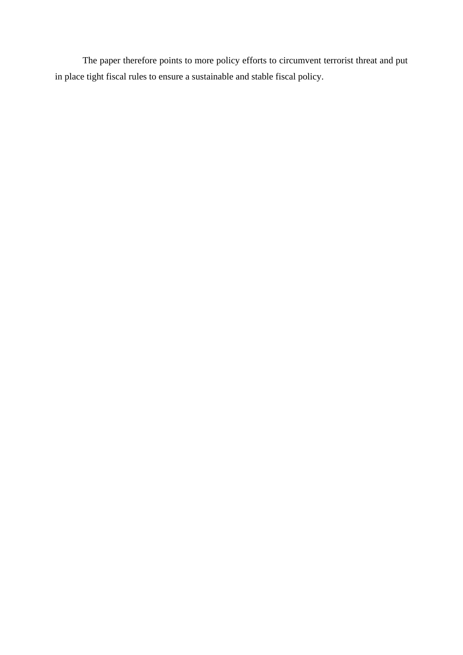The paper therefore points to more policy efforts to circumvent terrorist threat and put in place tight fiscal rules to ensure a sustainable and stable fiscal policy.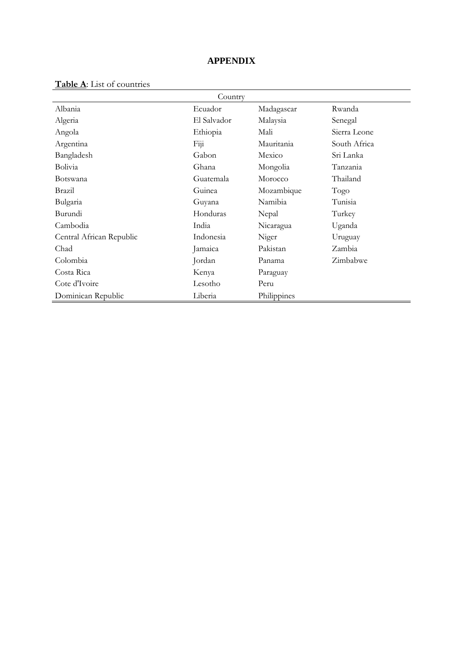## **APPENDIX**

|                          | Country     |             |              |
|--------------------------|-------------|-------------|--------------|
| Albania                  | Ecuador     | Madagascar  | Rwanda       |
| Algeria                  | El Salvador | Malaysia    | Senegal      |
| Angola                   | Ethiopia    | Mali        | Sierra Leone |
| Argentina                | $Fi$ ji     | Mauritania  | South Africa |
| Bangladesh               | Gabon       | Mexico      | Sri Lanka    |
| Bolivia                  | Ghana       | Mongolia    | Tanzania     |
| Botswana                 | Guatemala   | Morocco     | Thailand     |
| Brazil                   | Guinea      | Mozambique  | Togo         |
| Bulgaria                 | Guyana      | Namibia     | Tunisia      |
| Burundi                  | Honduras    | Nepal       | Turkey       |
| Cambodia                 | India       | Nicaragua   | Uganda       |
| Central African Republic | Indonesia   | Niger       | Uruguay      |
| Chad                     | Jamaica     | Pakistan    | Zambia       |
| Colombia                 | Jordan      | Panama      | Zimbabwe     |
| Costa Rica               | Kenya       | Paraguay    |              |
| Cote d'Ivoire            | Lesotho     | Peru        |              |
| Dominican Republic       | Liberia     | Philippines |              |

## **Table A**: List of countries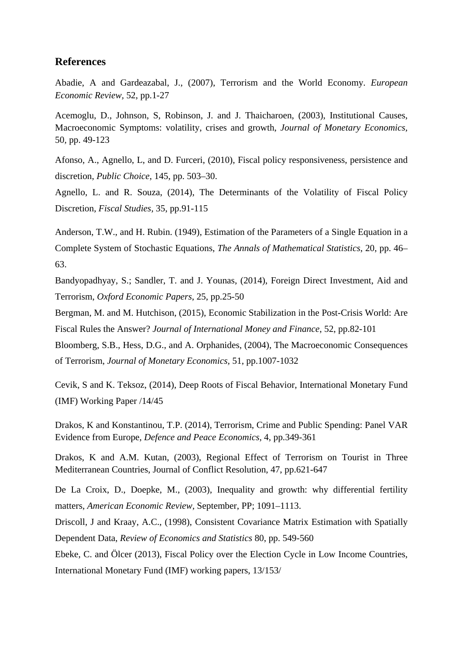## **References**

Abadie, A and Gardeazabal, J., (2007), Terrorism and the World Economy. *European Economic Review,* 52, pp.1-27

Acemoglu, D., Johnson, S, Robinson, J. and J. Thaicharoen, (2003), Institutional Causes, Macroeconomic Symptoms: volatility, crises and growth, *Journal of Monetary Economics,*  50*,* pp. 49-123

Afonso, A., Agnello, L, and D. Furceri, (2010), Fiscal policy responsiveness, persistence and discretion, *Public Choice*, 145, pp. 503–30.

Agnello, L. and R. Souza, (2014), The Determinants of the Volatility of Fiscal Policy Discretion, *Fiscal Studies,* 35, pp.91-115

Anderson, T.W., and H. Rubin. (1949), Estimation of the Parameters of a Single Equation in a Complete System of Stochastic Equations, *The Annals of Mathematical Statistics*, 20, pp. 46– 63.

Bandyopadhyay, S.; Sandler, T. and J. Younas, (2014), Foreign Direct Investment, Aid and Terrorism, *Oxford Economic Papers*, 25, pp.25-50

Bergman, M. and M. Hutchison, (2015), Economic Stabilization in the Post-Crisis World: Are Fiscal Rules the Answer? *Journal of International Money and Finance*, 52, pp.82-101

Bloomberg, S.B., Hess, D.G., and A. Orphanides, (2004), The Macroeconomic Consequences of Terrorism, *Journal of Monetary Economics,* 51, pp.1007-1032

Cevik, S and K. Teksoz, (2014), Deep Roots of Fiscal Behavior, International Monetary Fund (IMF) Working Paper /14/45

Drakos, K and Konstantinou, T.P. (2014), Terrorism, Crime and Public Spending: Panel VAR Evidence from Europe, *Defence and Peace Economics,* 4, pp.349-361

Drakos, K and A.M. Kutan, (2003), Regional Effect of Terrorism on Tourist in Three Mediterranean Countries, Journal of Conflict Resolution, 47, pp.621-647

De La Croix, D., Doepke, M., (2003), Inequality and growth: why differential fertility matters, *American Economic Review,* September, PP; 1091–1113.

Driscoll, J and Kraay, A.C., (1998), Consistent Covariance Matrix Estimation with Spatially Dependent Data, *Review of Economics and Statistics* 80, pp. 549-560

Ebeke, C. and Ölcer (2013), Fiscal Policy over the Election Cycle in Low Income Countries, International Monetary Fund (IMF) working papers, 13/153/